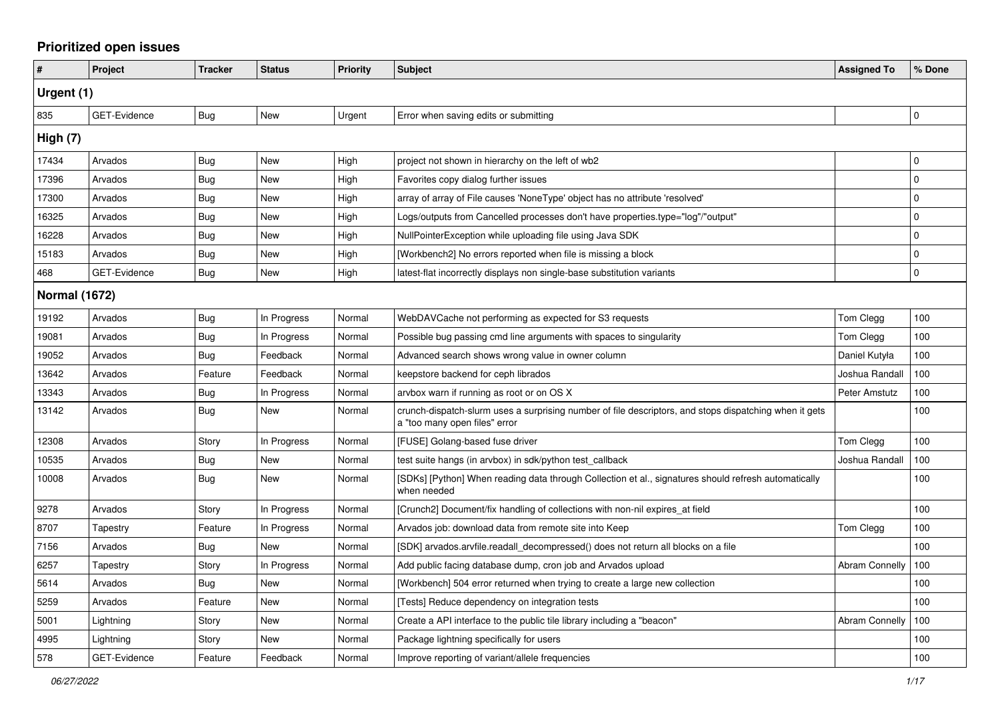## **Prioritized open issues**

| $\#$                 | Project             | <b>Tracker</b> | <b>Status</b> | <b>Priority</b> | <b>Subject</b>                                                                                                                          | <b>Assigned To</b>    | % Done      |  |
|----------------------|---------------------|----------------|---------------|-----------------|-----------------------------------------------------------------------------------------------------------------------------------------|-----------------------|-------------|--|
| Urgent (1)           |                     |                |               |                 |                                                                                                                                         |                       |             |  |
| 835                  | <b>GET-Evidence</b> | <b>Bug</b>     | <b>New</b>    | Urgent          | Error when saving edits or submitting                                                                                                   |                       | $\Omega$    |  |
| High (7)             |                     |                |               |                 |                                                                                                                                         |                       |             |  |
| 17434                | Arvados             | <b>Bug</b>     | New           | High            | project not shown in hierarchy on the left of wb2                                                                                       |                       | $\mathbf 0$ |  |
| 17396                | Arvados             | <b>Bug</b>     | New           | High            | Favorites copy dialog further issues                                                                                                    |                       | $\Omega$    |  |
| 17300                | Arvados             | Bug            | New           | High            | array of array of File causes 'NoneType' object has no attribute 'resolved'                                                             |                       | $\Omega$    |  |
| 16325                | Arvados             | <b>Bug</b>     | New           | High            | Logs/outputs from Cancelled processes don't have properties.type="log"/"output"                                                         |                       | $\Omega$    |  |
| 16228                | Arvados             | Bug            | New           | High            | NullPointerException while uploading file using Java SDK                                                                                |                       | $\mathbf 0$ |  |
| 15183                | Arvados             | Bug            | New           | High            | [Workbench2] No errors reported when file is missing a block                                                                            |                       | $\mathbf 0$ |  |
| 468                  | GET-Evidence        | Bug            | New           | High            | latest-flat incorrectly displays non single-base substitution variants                                                                  |                       | $\mathbf 0$ |  |
| <b>Normal (1672)</b> |                     |                |               |                 |                                                                                                                                         |                       |             |  |
| 19192                | Arvados             | Bug            | In Progress   | Normal          | WebDAVCache not performing as expected for S3 requests                                                                                  | Tom Clegg             | 100         |  |
| 19081                | Arvados             | <b>Bug</b>     | In Progress   | Normal          | Possible bug passing cmd line arguments with spaces to singularity                                                                      | Tom Clegg             | 100         |  |
| 19052                | Arvados             | Bug            | Feedback      | Normal          | Advanced search shows wrong value in owner column                                                                                       | Daniel Kutyła         | 100         |  |
| 13642                | Arvados             | Feature        | Feedback      | Normal          | keepstore backend for ceph librados                                                                                                     | Joshua Randall        | 100         |  |
| 13343                | Arvados             | Bug            | In Progress   | Normal          | arvbox warn if running as root or on OS X                                                                                               | Peter Amstutz         | 100         |  |
| 13142                | Arvados             | Bug            | New           | Normal          | crunch-dispatch-slurm uses a surprising number of file descriptors, and stops dispatching when it gets<br>a "too many open files" error |                       | 100         |  |
| 12308                | Arvados             | Story          | In Progress   | Normal          | [FUSE] Golang-based fuse driver                                                                                                         | Tom Clegg             | 100         |  |
| 10535                | Arvados             | <b>Bug</b>     | New           | Normal          | test suite hangs (in arvbox) in sdk/python test_callback                                                                                | Joshua Randall        | 100         |  |
| 10008                | Arvados             | <b>Bug</b>     | <b>New</b>    | Normal          | [SDKs] [Python] When reading data through Collection et al., signatures should refresh automatically<br>when needed                     |                       | 100         |  |
| 9278                 | Arvados             | Story          | In Progress   | Normal          | [Crunch2] Document/fix handling of collections with non-nil expires_at field                                                            |                       | 100         |  |
| 8707                 | Tapestry            | Feature        | In Progress   | Normal          | Arvados job: download data from remote site into Keep                                                                                   | Tom Clegg             | 100         |  |
| 7156                 | Arvados             | Bug            | <b>New</b>    | Normal          | [SDK] arvados.arvfile.readall decompressed() does not return all blocks on a file                                                       |                       | 100         |  |
| 6257                 | Tapestry            | Story          | In Progress   | Normal          | Add public facing database dump, cron job and Arvados upload                                                                            | <b>Abram Connelly</b> | 100         |  |
| 5614                 | Arvados             | <b>Bug</b>     | <b>New</b>    | Normal          | [Workbench] 504 error returned when trying to create a large new collection                                                             |                       | 100         |  |
| 5259                 | Arvados             | Feature        | New           | Normal          | [Tests] Reduce dependency on integration tests                                                                                          |                       | 100         |  |
| 5001                 | Lightning           | Story          | New           | Normal          | Create a API interface to the public tile library including a "beacon"                                                                  | Abram Connelly        | 100         |  |
| 4995                 | Lightning           | Story          | New           | Normal          | Package lightning specifically for users                                                                                                |                       | 100         |  |
| 578                  | <b>GET-Evidence</b> | Feature        | Feedback      | Normal          | Improve reporting of variant/allele frequencies                                                                                         |                       | 100         |  |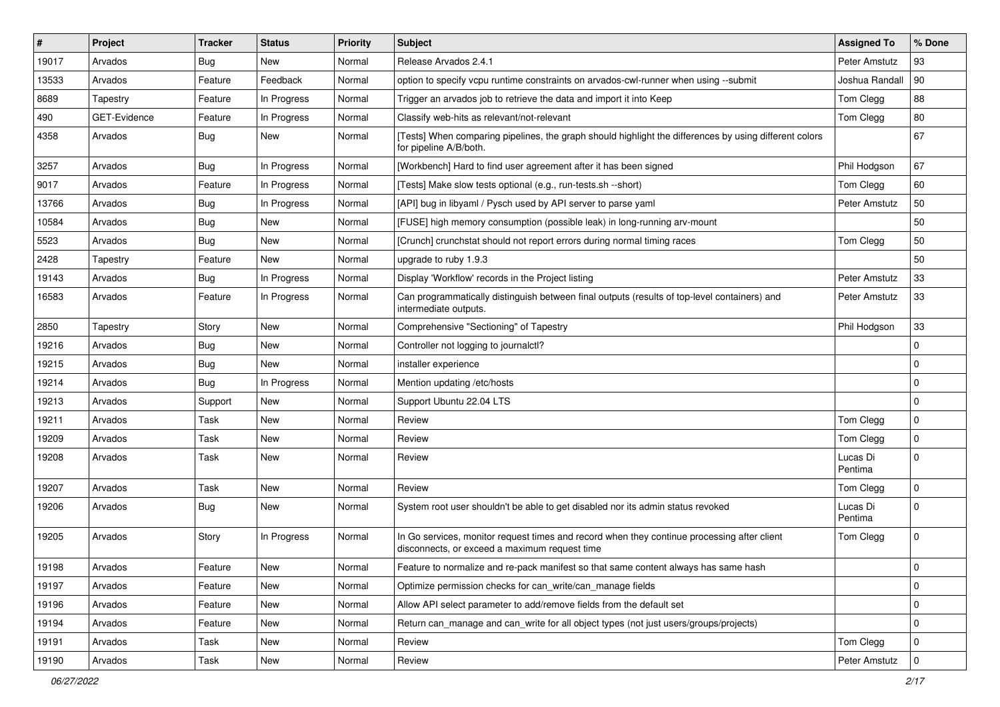| $\vert$ # | Project      | <b>Tracker</b> | <b>Status</b> | <b>Priority</b> | <b>Subject</b>                                                                                                                               | <b>Assigned To</b>  | % Done      |
|-----------|--------------|----------------|---------------|-----------------|----------------------------------------------------------------------------------------------------------------------------------------------|---------------------|-------------|
| 19017     | Arvados      | <b>Bug</b>     | New           | Normal          | Release Arvados 2.4.1                                                                                                                        | Peter Amstutz       | 93          |
| 13533     | Arvados      | Feature        | Feedback      | Normal          | option to specify vcpu runtime constraints on arvados-cwl-runner when using --submit                                                         | Joshua Randall      | 90          |
| 8689      | Tapestry     | Feature        | In Progress   | Normal          | Trigger an arvados job to retrieve the data and import it into Keep                                                                          | Tom Clegg           | 88          |
| 490       | GET-Evidence | Feature        | In Progress   | Normal          | Classify web-hits as relevant/not-relevant                                                                                                   | Tom Clegg           | 80          |
| 4358      | Arvados      | <b>Bug</b>     | New           | Normal          | [Tests] When comparing pipelines, the graph should highlight the differences by using different colors<br>for pipeline A/B/both.             |                     | 67          |
| 3257      | Arvados      | <b>Bug</b>     | In Progress   | Normal          | [Workbench] Hard to find user agreement after it has been signed                                                                             | Phil Hodgson        | 67          |
| 9017      | Arvados      | Feature        | In Progress   | Normal          | [Tests] Make slow tests optional (e.g., run-tests.sh --short)                                                                                | Tom Clegg           | 60          |
| 13766     | Arvados      | <b>Bug</b>     | In Progress   | Normal          | [API] bug in libyaml / Pysch used by API server to parse yaml                                                                                | Peter Amstutz       | 50          |
| 10584     | Arvados      | <b>Bug</b>     | New           | Normal          | [FUSE] high memory consumption (possible leak) in long-running arv-mount                                                                     |                     | 50          |
| 5523      | Arvados      | Bug            | New           | Normal          | [Crunch] crunchstat should not report errors during normal timing races                                                                      | Tom Clegg           | 50          |
| 2428      | Tapestry     | Feature        | New           | Normal          | upgrade to ruby 1.9.3                                                                                                                        |                     | 50          |
| 19143     | Arvados      | <b>Bug</b>     | In Progress   | Normal          | Display 'Workflow' records in the Project listing                                                                                            | Peter Amstutz       | 33          |
| 16583     | Arvados      | Feature        | In Progress   | Normal          | Can programmatically distinguish between final outputs (results of top-level containers) and<br>intermediate outputs.                        | Peter Amstutz       | 33          |
| 2850      | Tapestry     | Story          | New           | Normal          | Comprehensive "Sectioning" of Tapestry                                                                                                       | Phil Hodgson        | 33          |
| 19216     | Arvados      | <b>Bug</b>     | New           | Normal          | Controller not logging to journalctl?                                                                                                        |                     | $\Omega$    |
| 19215     | Arvados      | <b>Bug</b>     | New           | Normal          | installer experience                                                                                                                         |                     | $\Omega$    |
| 19214     | Arvados      | Bug            | In Progress   | Normal          | Mention updating /etc/hosts                                                                                                                  |                     | $\Omega$    |
| 19213     | Arvados      | Support        | New           | Normal          | Support Ubuntu 22.04 LTS                                                                                                                     |                     | $\mathbf 0$ |
| 19211     | Arvados      | Task           | New           | Normal          | Review                                                                                                                                       | Tom Clegg           | $\mathbf 0$ |
| 19209     | Arvados      | Task           | New           | Normal          | Review                                                                                                                                       | Tom Clegg           | $\mathbf 0$ |
| 19208     | Arvados      | Task           | New           | Normal          | Review                                                                                                                                       | Lucas Di<br>Pentima | $\mathbf 0$ |
| 19207     | Arvados      | Task           | New           | Normal          | Review                                                                                                                                       | Tom Clegg           | $\Omega$    |
| 19206     | Arvados      | <b>Bug</b>     | New           | Normal          | System root user shouldn't be able to get disabled nor its admin status revoked                                                              | Lucas Di<br>Pentima | $\Omega$    |
| 19205     | Arvados      | Story          | In Progress   | Normal          | In Go services, monitor request times and record when they continue processing after client<br>disconnects, or exceed a maximum request time | Tom Clegg           | $\mathbf 0$ |
| 19198     | Arvados      | Feature        | New           | Normal          | Feature to normalize and re-pack manifest so that same content always has same hash                                                          |                     | 0           |
| 19197     | Arvados      | Feature        | New           | Normal          | Optimize permission checks for can write/can manage fields                                                                                   |                     | $\mathbf 0$ |
| 19196     | Arvados      | Feature        | New           | Normal          | Allow API select parameter to add/remove fields from the default set                                                                         |                     | $\mathbf 0$ |
| 19194     | Arvados      | Feature        | New           | Normal          | Return can_manage and can_write for all object types (not just users/groups/projects)                                                        |                     | $\mathbf 0$ |
| 19191     | Arvados      | Task           | New           | Normal          | Review                                                                                                                                       | Tom Clegg           | $\mathbf 0$ |
| 19190     | Arvados      | Task           | New           | Normal          | Review                                                                                                                                       | Peter Amstutz       | $\mathbf 0$ |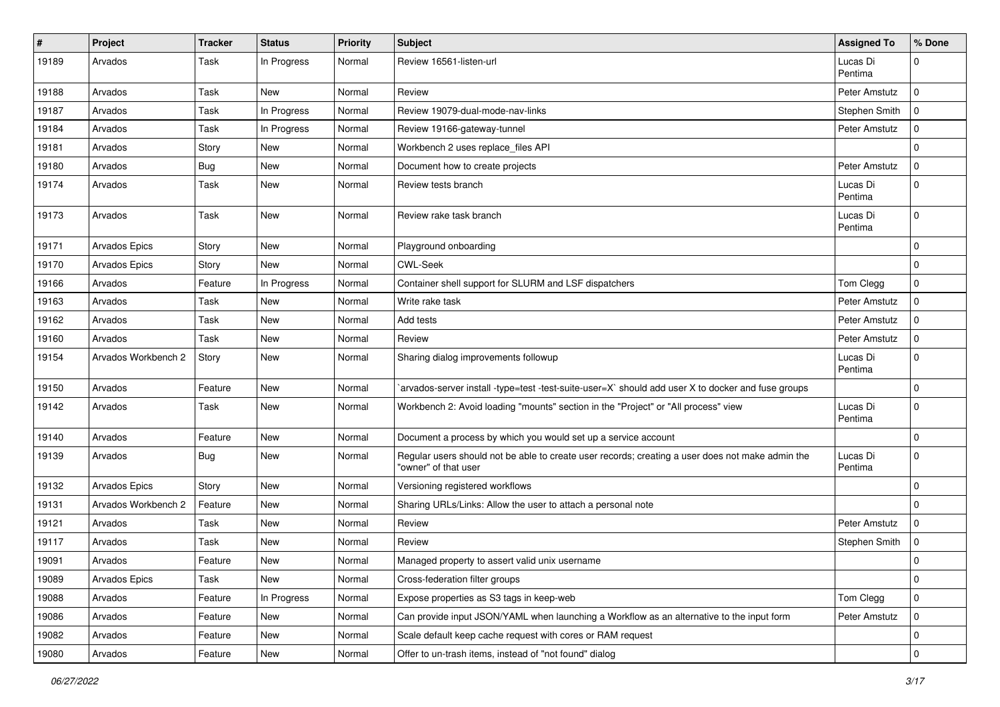| #     | Project             | <b>Tracker</b> | <b>Status</b> | <b>Priority</b> | <b>Subject</b>                                                                                                           | <b>Assigned To</b>  | % Done      |
|-------|---------------------|----------------|---------------|-----------------|--------------------------------------------------------------------------------------------------------------------------|---------------------|-------------|
| 19189 | Arvados             | Task           | In Progress   | Normal          | Review 16561-listen-url                                                                                                  | Lucas Di<br>Pentima | 0           |
| 19188 | Arvados             | Task           | <b>New</b>    | Normal          | Review                                                                                                                   | Peter Amstutz       | $\mathbf 0$ |
| 19187 | Arvados             | Task           | In Progress   | Normal          | Review 19079-dual-mode-nav-links                                                                                         | Stephen Smith       | $\mathbf 0$ |
| 19184 | Arvados             | Task           | In Progress   | Normal          | Review 19166-gateway-tunnel                                                                                              | Peter Amstutz       | 0           |
| 19181 | Arvados             | Story          | New           | Normal          | Workbench 2 uses replace files API                                                                                       |                     | 0           |
| 19180 | Arvados             | <b>Bug</b>     | <b>New</b>    | Normal          | Document how to create projects                                                                                          | Peter Amstutz       | $\mathbf 0$ |
| 19174 | Arvados             | Task           | New           | Normal          | Review tests branch                                                                                                      | Lucas Di<br>Pentima | $\mathbf 0$ |
| 19173 | Arvados             | Task           | <b>New</b>    | Normal          | Review rake task branch                                                                                                  | Lucas Di<br>Pentima | 0           |
| 19171 | Arvados Epics       | Story          | <b>New</b>    | Normal          | Playground onboarding                                                                                                    |                     | 0           |
| 19170 | Arvados Epics       | Story          | <b>New</b>    | Normal          | <b>CWL-Seek</b>                                                                                                          |                     | 0           |
| 19166 | Arvados             | Feature        | In Progress   | Normal          | Container shell support for SLURM and LSF dispatchers                                                                    | Tom Clegg           | 0           |
| 19163 | Arvados             | Task           | <b>New</b>    | Normal          | Write rake task                                                                                                          | Peter Amstutz       | $\mathbf 0$ |
| 19162 | Arvados             | Task           | New           | Normal          | Add tests                                                                                                                | Peter Amstutz       | $\mathbf 0$ |
| 19160 | Arvados             | Task           | New           | Normal          | Review                                                                                                                   | Peter Amstutz       | 0           |
| 19154 | Arvados Workbench 2 | Story          | <b>New</b>    | Normal          | Sharing dialog improvements followup                                                                                     | Lucas Di<br>Pentima | 0           |
| 19150 | Arvados             | Feature        | <b>New</b>    | Normal          | arvados-server install -type=test -test-suite-user=X` should add user X to docker and fuse groups`                       |                     | 0           |
| 19142 | Arvados             | Task           | <b>New</b>    | Normal          | Workbench 2: Avoid loading "mounts" section in the "Project" or "All process" view                                       | Lucas Di<br>Pentima | 0           |
| 19140 | Arvados             | Feature        | <b>New</b>    | Normal          | Document a process by which you would set up a service account                                                           |                     | $\mathbf 0$ |
| 19139 | Arvados             | <b>Bug</b>     | New           | Normal          | Regular users should not be able to create user records; creating a user does not make admin the<br>"owner" of that user | Lucas Di<br>Pentima | $\mathbf 0$ |
| 19132 | Arvados Epics       | Story          | <b>New</b>    | Normal          | Versioning registered workflows                                                                                          |                     | 0           |
| 19131 | Arvados Workbench 2 | Feature        | <b>New</b>    | Normal          | Sharing URLs/Links: Allow the user to attach a personal note                                                             |                     | $\mathbf 0$ |
| 19121 | Arvados             | Task           | New           | Normal          | Review                                                                                                                   | Peter Amstutz       | $\mathbf 0$ |
| 19117 | Arvados             | Task           | <b>New</b>    | Normal          | Review                                                                                                                   | Stephen Smith       | 0           |
| 19091 | Arvados             | Feature        | New           | Normal          | Managed property to assert valid unix username                                                                           |                     | $\Omega$    |
| 19089 | Arvados Epics       | Task           | New           | Normal          | Cross-federation filter groups                                                                                           |                     | $\pmb{0}$   |
| 19088 | Arvados             | Feature        | In Progress   | Normal          | Expose properties as S3 tags in keep-web                                                                                 | Tom Clegg           | $\mathbf 0$ |
| 19086 | Arvados             | Feature        | New           | Normal          | Can provide input JSON/YAML when launching a Workflow as an alternative to the input form                                | Peter Amstutz       | $\mathbf 0$ |
| 19082 | Arvados             | Feature        | New           | Normal          | Scale default keep cache request with cores or RAM request                                                               |                     | 0           |
| 19080 | Arvados             | Feature        | New           | Normal          | Offer to un-trash items, instead of "not found" dialog                                                                   |                     | $\mathbf 0$ |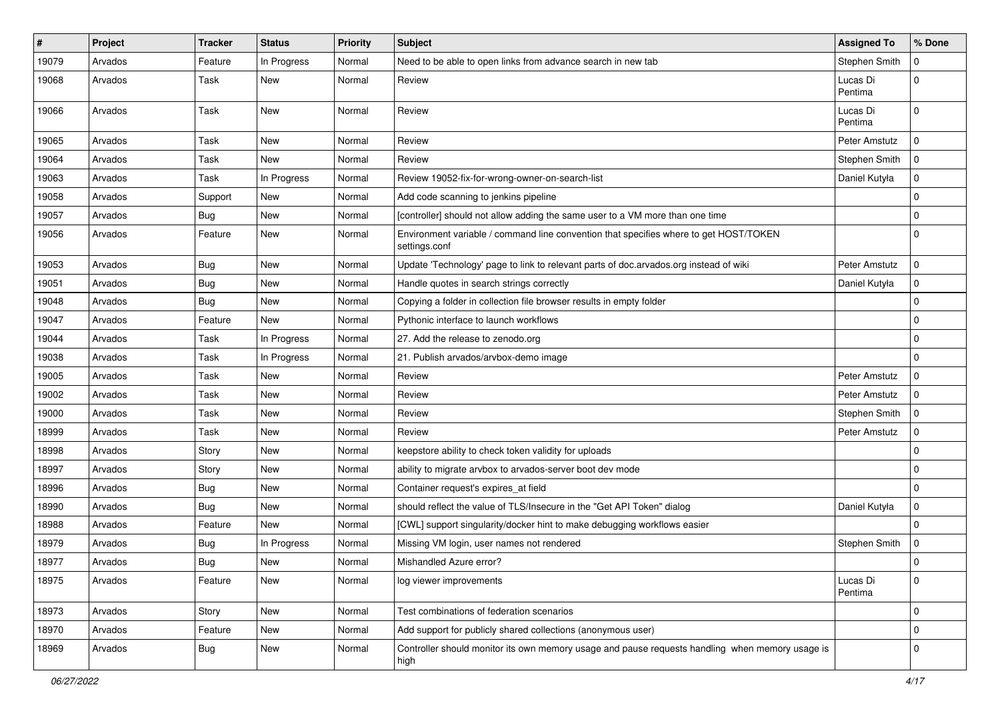| #     | Project | <b>Tracker</b> | <b>Status</b> | <b>Priority</b> | Subject                                                                                                 | <b>Assigned To</b>  | % Done      |
|-------|---------|----------------|---------------|-----------------|---------------------------------------------------------------------------------------------------------|---------------------|-------------|
| 19079 | Arvados | Feature        | In Progress   | Normal          | Need to be able to open links from advance search in new tab                                            | Stephen Smith       | U           |
| 19068 | Arvados | Task           | New           | Normal          | Review                                                                                                  | Lucas Di<br>Pentima | $\Omega$    |
| 19066 | Arvados | Task           | New           | Normal          | Review                                                                                                  | Lucas Di<br>Pentima | $\Omega$    |
| 19065 | Arvados | Task           | New           | Normal          | Review                                                                                                  | Peter Amstutz       | 0           |
| 19064 | Arvados | Task           | New           | Normal          | Review                                                                                                  | Stephen Smith       | $\Omega$    |
| 19063 | Arvados | Task           | In Progress   | Normal          | Review 19052-fix-for-wrong-owner-on-search-list                                                         | Daniel Kutyła       | 0           |
| 19058 | Arvados | Support        | New           | Normal          | Add code scanning to jenkins pipeline                                                                   |                     | $\Omega$    |
| 19057 | Arvados | <b>Bug</b>     | New           | Normal          | [controller] should not allow adding the same user to a VM more than one time                           |                     | $\Omega$    |
| 19056 | Arvados | Feature        | New           | Normal          | Environment variable / command line convention that specifies where to get HOST/TOKEN<br>settings.conf  |                     | $\Omega$    |
| 19053 | Arvados | <b>Bug</b>     | New           | Normal          | Update 'Technology' page to link to relevant parts of doc.arvados.org instead of wiki                   | Peter Amstutz       | $\Omega$    |
| 19051 | Arvados | <b>Bug</b>     | New           | Normal          | Handle quotes in search strings correctly                                                               | Daniel Kutyła       | $\Omega$    |
| 19048 | Arvados | <b>Bug</b>     | New           | Normal          | Copying a folder in collection file browser results in empty folder                                     |                     | $\mathbf 0$ |
| 19047 | Arvados | Feature        | New           | Normal          | Pythonic interface to launch workflows                                                                  |                     | $\mathbf 0$ |
| 19044 | Arvados | Task           | In Progress   | Normal          | 27. Add the release to zenodo.org                                                                       |                     | $\mathbf 0$ |
| 19038 | Arvados | Task           | In Progress   | Normal          | 21. Publish arvados/arvbox-demo image                                                                   |                     | $\Omega$    |
| 19005 | Arvados | Task           | New           | Normal          | Review                                                                                                  | Peter Amstutz       | $\Omega$    |
| 19002 | Arvados | Task           | New           | Normal          | Review                                                                                                  | Peter Amstutz       | $\Omega$    |
| 19000 | Arvados | Task           | New           | Normal          | Review                                                                                                  | Stephen Smith       | $\Omega$    |
| 18999 | Arvados | Task           | New           | Normal          | Review                                                                                                  | Peter Amstutz       | U           |
| 18998 | Arvados | Story          | New           | Normal          | keepstore ability to check token validity for uploads                                                   |                     | $\Omega$    |
| 18997 | Arvados | Story          | New           | Normal          | ability to migrate arvbox to arvados-server boot dev mode                                               |                     | $\Omega$    |
| 18996 | Arvados | <b>Bug</b>     | New           | Normal          | Container request's expires_at field                                                                    |                     | $\Omega$    |
| 18990 | Arvados | Bug            | New           | Normal          | should reflect the value of TLS/Insecure in the "Get API Token" dialog                                  | Daniel Kutyła       | 0           |
| 18988 | Arvados | Feature        | New           | Normal          | [CWL] support singularity/docker hint to make debugging workflows easier                                |                     | 0           |
| 18979 | Arvados | Bug            | In Progress   | Normal          | Missing VM login, user names not rendered                                                               | Stephen Smith       | $\Omega$    |
| 18977 | Arvados | Bug            | New           | Normal          | Mishandled Azure error?                                                                                 |                     | $\mathbf 0$ |
| 18975 | Arvados | Feature        | New           | Normal          | log viewer improvements                                                                                 | Lucas Di<br>Pentima | $\mathbf 0$ |
| 18973 | Arvados | Story          | New           | Normal          | Test combinations of federation scenarios                                                               |                     | $\mathbf 0$ |
| 18970 | Arvados | Feature        | New           | Normal          | Add support for publicly shared collections (anonymous user)                                            |                     | $\mathbf 0$ |
| 18969 | Arvados | Bug            | New           | Normal          | Controller should monitor its own memory usage and pause requests handling when memory usage is<br>high |                     | $\Omega$    |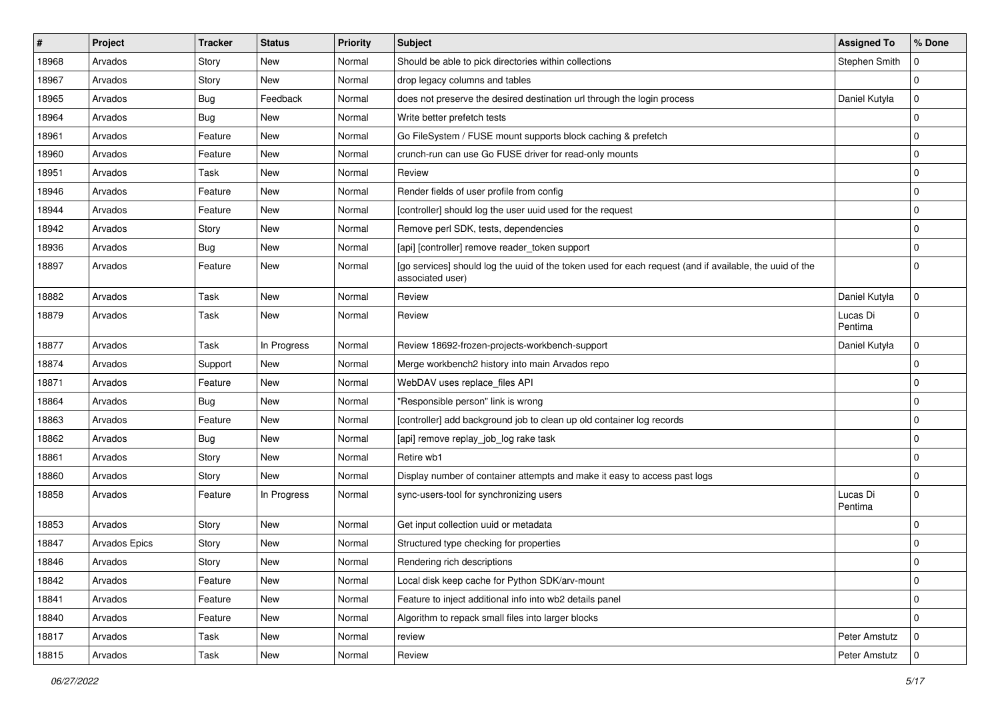| #     | Project              | <b>Tracker</b> | <b>Status</b> | <b>Priority</b> | <b>Subject</b>                                                                                                              | <b>Assigned To</b>  | % Done      |
|-------|----------------------|----------------|---------------|-----------------|-----------------------------------------------------------------------------------------------------------------------------|---------------------|-------------|
| 18968 | Arvados              | Story          | New           | Normal          | Should be able to pick directories within collections                                                                       | Stephen Smith       | $\Omega$    |
| 18967 | Arvados              | Story          | New           | Normal          | drop legacy columns and tables                                                                                              |                     | $\Omega$    |
| 18965 | Arvados              | <b>Bug</b>     | Feedback      | Normal          | does not preserve the desired destination url through the login process                                                     | Daniel Kutyła       | 0           |
| 18964 | Arvados              | <b>Bug</b>     | New           | Normal          | Write better prefetch tests                                                                                                 |                     | $\mathbf 0$ |
| 18961 | Arvados              | Feature        | New           | Normal          | Go FileSystem / FUSE mount supports block caching & prefetch                                                                |                     | 0           |
| 18960 | Arvados              | Feature        | New           | Normal          | crunch-run can use Go FUSE driver for read-only mounts                                                                      |                     | $\mathbf 0$ |
| 18951 | Arvados              | Task           | New           | Normal          | Review                                                                                                                      |                     | $\mathbf 0$ |
| 18946 | Arvados              | Feature        | New           | Normal          | Render fields of user profile from config                                                                                   |                     | 0           |
| 18944 | Arvados              | Feature        | New           | Normal          | [controller] should log the user uuid used for the request                                                                  |                     | 0           |
| 18942 | Arvados              | Story          | New           | Normal          | Remove perl SDK, tests, dependencies                                                                                        |                     | $\mathbf 0$ |
| 18936 | Arvados              | <b>Bug</b>     | New           | Normal          | [api] [controller] remove reader token support                                                                              |                     | $\mathbf 0$ |
| 18897 | Arvados              | Feature        | New           | Normal          | [go services] should log the uuid of the token used for each request (and if available, the uuid of the<br>associated user) |                     | $\mathbf 0$ |
| 18882 | Arvados              | Task           | New           | Normal          | Review                                                                                                                      | Daniel Kutyła       | $\Omega$    |
| 18879 | Arvados              | Task           | New           | Normal          | Review                                                                                                                      | Lucas Di<br>Pentima | $\Omega$    |
| 18877 | Arvados              | Task           | In Progress   | Normal          | Review 18692-frozen-projects-workbench-support                                                                              | Daniel Kutyła       | $\mathbf 0$ |
| 18874 | Arvados              | Support        | New           | Normal          | Merge workbench2 history into main Arvados repo                                                                             |                     | $\mathbf 0$ |
| 18871 | Arvados              | Feature        | New           | Normal          | WebDAV uses replace files API                                                                                               |                     | $\mathbf 0$ |
| 18864 | Arvados              | <b>Bug</b>     | New           | Normal          | "Responsible person" link is wrong                                                                                          |                     | $\mathbf 0$ |
| 18863 | Arvados              | Feature        | New           | Normal          | [controller] add background job to clean up old container log records                                                       |                     | 0           |
| 18862 | Arvados              | Bug            | New           | Normal          | [api] remove replay_job_log rake task                                                                                       |                     | $\mathbf 0$ |
| 18861 | Arvados              | Story          | New           | Normal          | Retire wb1                                                                                                                  |                     | $\mathbf 0$ |
| 18860 | Arvados              | Story          | New           | Normal          | Display number of container attempts and make it easy to access past logs                                                   |                     | $\mathbf 0$ |
| 18858 | Arvados              | Feature        | In Progress   | Normal          | sync-users-tool for synchronizing users                                                                                     | Lucas Di<br>Pentima | $\mathbf 0$ |
| 18853 | Arvados              | Story          | New           | Normal          | Get input collection uuid or metadata                                                                                       |                     | $\mathbf 0$ |
| 18847 | <b>Arvados Epics</b> | Story          | New           | Normal          | Structured type checking for properties                                                                                     |                     | $\Omega$    |
| 18846 | Arvados              | Story          | New           | Normal          | Rendering rich descriptions                                                                                                 |                     | 0           |
| 18842 | Arvados              | Feature        | New           | Normal          | Local disk keep cache for Python SDK/arv-mount                                                                              |                     | $\mathbf 0$ |
| 18841 | Arvados              | Feature        | New           | Normal          | Feature to inject additional info into wb2 details panel                                                                    |                     | $\mathbf 0$ |
| 18840 | Arvados              | Feature        | New           | Normal          | Algorithm to repack small files into larger blocks                                                                          |                     | $\mathbf 0$ |
| 18817 | Arvados              | Task           | New           | Normal          | review                                                                                                                      | Peter Amstutz       | $\mathbf 0$ |
| 18815 | Arvados              | Task           | New           | Normal          | Review                                                                                                                      | Peter Amstutz       | 0           |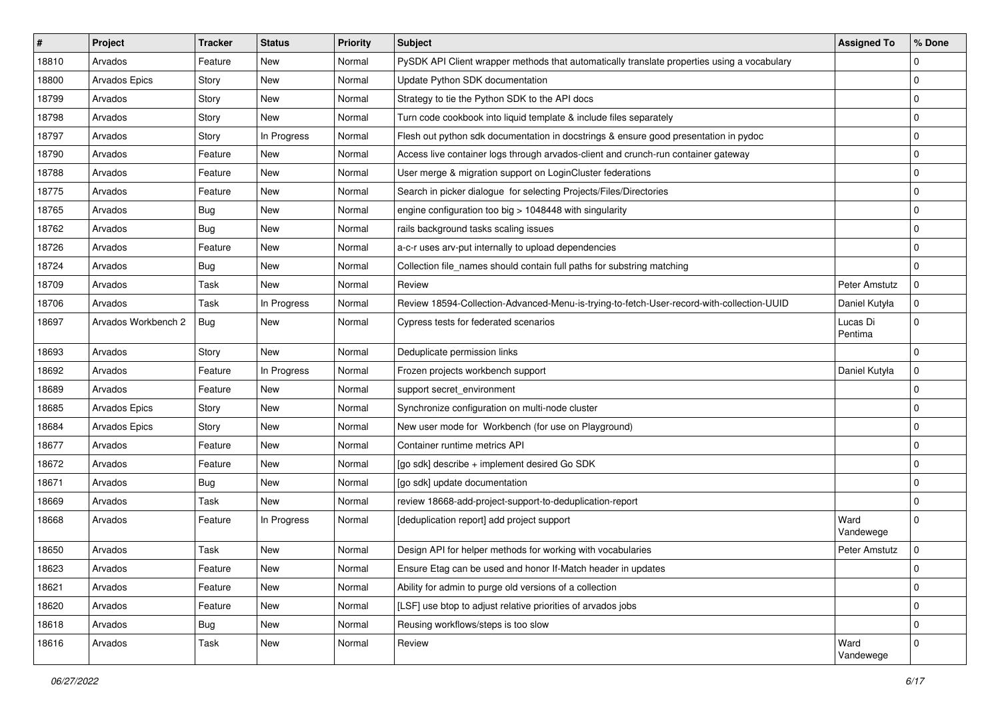| ∦     | Project              | <b>Tracker</b> | <b>Status</b> | <b>Priority</b> | <b>Subject</b>                                                                              | <b>Assigned To</b>  | % Done         |
|-------|----------------------|----------------|---------------|-----------------|---------------------------------------------------------------------------------------------|---------------------|----------------|
| 18810 | Arvados              | Feature        | New           | Normal          | PySDK API Client wrapper methods that automatically translate properties using a vocabulary |                     | $\Omega$       |
| 18800 | <b>Arvados Epics</b> | Story          | New           | Normal          | Update Python SDK documentation                                                             |                     | 0              |
| 18799 | Arvados              | Story          | New           | Normal          | Strategy to tie the Python SDK to the API docs                                              |                     | $\mathbf 0$    |
| 18798 | Arvados              | Story          | New           | Normal          | Turn code cookbook into liquid template & include files separately                          |                     | $\mathbf 0$    |
| 18797 | Arvados              | Story          | In Progress   | Normal          | Flesh out python sdk documentation in docstrings & ensure good presentation in pydoc        |                     | 0              |
| 18790 | Arvados              | Feature        | New           | Normal          | Access live container logs through arvados-client and crunch-run container gateway          |                     | 0              |
| 18788 | Arvados              | Feature        | New           | Normal          | User merge & migration support on LoginCluster federations                                  |                     | $\mathbf 0$    |
| 18775 | Arvados              | Feature        | New           | Normal          | Search in picker dialogue for selecting Projects/Files/Directories                          |                     | 0              |
| 18765 | Arvados              | Bug            | New           | Normal          | engine configuration too big > 1048448 with singularity                                     |                     | 0              |
| 18762 | Arvados              | Bug            | New           | Normal          | rails background tasks scaling issues                                                       |                     | $\mathbf 0$    |
| 18726 | Arvados              | Feature        | New           | Normal          | a-c-r uses arv-put internally to upload dependencies                                        |                     | 0              |
| 18724 | Arvados              | <b>Bug</b>     | New           | Normal          | Collection file_names should contain full paths for substring matching                      |                     | $\mathbf 0$    |
| 18709 | Arvados              | Task           | New           | Normal          | Review                                                                                      | Peter Amstutz       | 0              |
| 18706 | Arvados              | Task           | In Progress   | Normal          | Review 18594-Collection-Advanced-Menu-is-trying-to-fetch-User-record-with-collection-UUID   | Daniel Kutyła       | $\Omega$       |
| 18697 | Arvados Workbench 2  | <b>Bug</b>     | New           | Normal          | Cypress tests for federated scenarios                                                       | Lucas Di<br>Pentima | $\Omega$       |
| 18693 | Arvados              | Story          | New           | Normal          | Deduplicate permission links                                                                |                     | $\mathbf 0$    |
| 18692 | Arvados              | Feature        | In Progress   | Normal          | Frozen projects workbench support                                                           | Daniel Kutyła       | 0              |
| 18689 | Arvados              | Feature        | New           | Normal          | support secret_environment                                                                  |                     | $\mathbf 0$    |
| 18685 | <b>Arvados Epics</b> | Story          | New           | Normal          | Synchronize configuration on multi-node cluster                                             |                     | $\mathbf 0$    |
| 18684 | <b>Arvados Epics</b> | Story          | New           | Normal          | New user mode for Workbench (for use on Playground)                                         |                     | 0              |
| 18677 | Arvados              | Feature        | New           | Normal          | Container runtime metrics API                                                               |                     | $\mathbf 0$    |
| 18672 | Arvados              | Feature        | New           | Normal          | [go sdk] describe + implement desired Go SDK                                                |                     | $\mathbf 0$    |
| 18671 | Arvados              | Bug            | New           | Normal          | [go sdk] update documentation                                                               |                     | $\Omega$       |
| 18669 | Arvados              | Task           | New           | Normal          | review 18668-add-project-support-to-deduplication-report                                    |                     | $\Omega$       |
| 18668 | Arvados              | Feature        | In Progress   | Normal          | [deduplication report] add project support                                                  | Ward<br>Vandewege   | $\Omega$       |
| 18650 | Arvados              | Task           | New           | Normal          | Design API for helper methods for working with vocabularies                                 | Peter Amstutz       | $\mathbf 0$    |
| 18623 | Arvados              | Feature        | New           | Normal          | Ensure Etag can be used and honor If-Match header in updates                                |                     | $\overline{0}$ |
| 18621 | Arvados              | Feature        | New           | Normal          | Ability for admin to purge old versions of a collection                                     |                     | $\mathbf 0$    |
| 18620 | Arvados              | Feature        | New           | Normal          | [LSF] use btop to adjust relative priorities of arvados jobs                                |                     | $\mathbf 0$    |
| 18618 | Arvados              | Bug            | New           | Normal          | Reusing workflows/steps is too slow                                                         |                     | $\mathbf 0$    |
| 18616 | Arvados              | Task           | New           | Normal          | Review                                                                                      | Ward<br>Vandewege   | $\mathbf 0$    |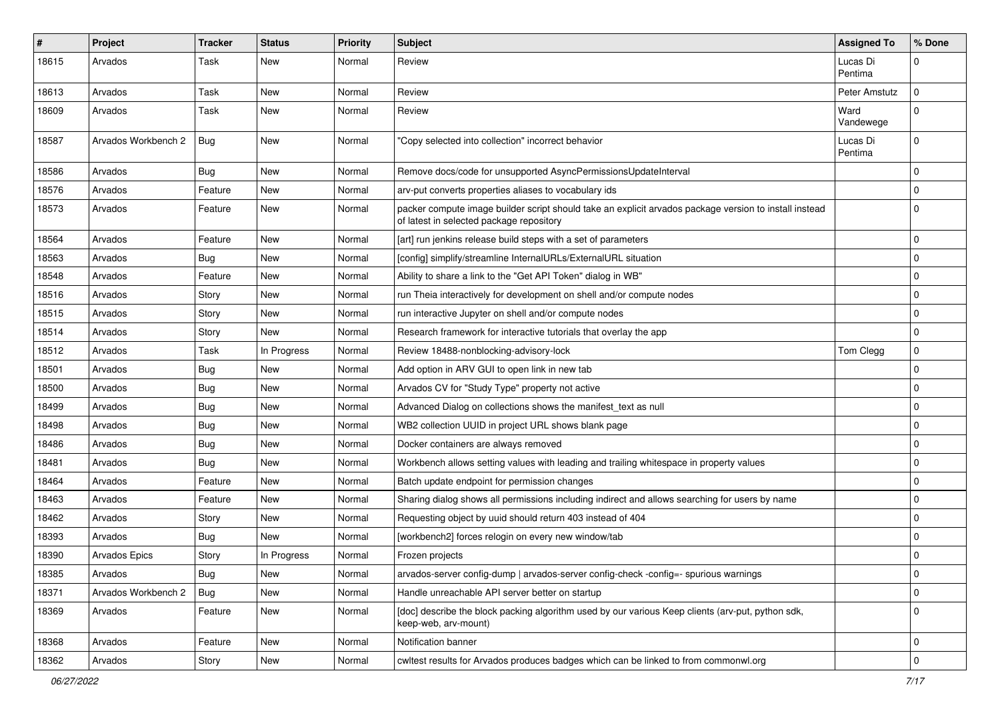| #     | Project              | Tracker    | <b>Status</b> | <b>Priority</b> | Subject                                                                                                                                            | <b>Assigned To</b>  | % Done      |
|-------|----------------------|------------|---------------|-----------------|----------------------------------------------------------------------------------------------------------------------------------------------------|---------------------|-------------|
| 18615 | Arvados              | Task       | New           | Normal          | Review                                                                                                                                             | Lucas Di<br>Pentima | $\Omega$    |
| 18613 | Arvados              | Task       | New           | Normal          | Review                                                                                                                                             | Peter Amstutz       | $\Omega$    |
| 18609 | Arvados              | Task       | New           | Normal          | Review                                                                                                                                             | Ward<br>Vandewege   | $\Omega$    |
| 18587 | Arvados Workbench 2  | <b>Bug</b> | New           | Normal          | "Copy selected into collection" incorrect behavior                                                                                                 | Lucas Di<br>Pentima | 0           |
| 18586 | Arvados              | <b>Bug</b> | New           | Normal          | Remove docs/code for unsupported AsyncPermissionsUpdateInterval                                                                                    |                     | $\mathbf 0$ |
| 18576 | Arvados              | Feature    | New           | Normal          | arv-put converts properties aliases to vocabulary ids                                                                                              |                     | $\Omega$    |
| 18573 | Arvados              | Feature    | New           | Normal          | packer compute image builder script should take an explicit arvados package version to install instead<br>of latest in selected package repository |                     | $\Omega$    |
| 18564 | Arvados              | Feature    | New           | Normal          | [art] run jenkins release build steps with a set of parameters                                                                                     |                     | $\mathbf 0$ |
| 18563 | Arvados              | Bug        | New           | Normal          | [config] simplify/streamline InternalURLs/ExternalURL situation                                                                                    |                     | 0           |
| 18548 | Arvados              | Feature    | New           | Normal          | Ability to share a link to the "Get API Token" dialog in WB"                                                                                       |                     | 0           |
| 18516 | Arvados              | Story      | New           | Normal          | run Theia interactively for development on shell and/or compute nodes                                                                              |                     | $\mathbf 0$ |
| 18515 | Arvados              | Story      | New           | Normal          | run interactive Jupyter on shell and/or compute nodes                                                                                              |                     | $\mathbf 0$ |
| 18514 | Arvados              | Story      | New           | Normal          | Research framework for interactive tutorials that overlay the app                                                                                  |                     | $\mathbf 0$ |
| 18512 | Arvados              | Task       | In Progress   | Normal          | Review 18488-nonblocking-advisory-lock                                                                                                             | Tom Clegg           | $\mathbf 0$ |
| 18501 | Arvados              | <b>Bug</b> | New           | Normal          | Add option in ARV GUI to open link in new tab                                                                                                      |                     | $\mathbf 0$ |
| 18500 | Arvados              | <b>Bug</b> | New           | Normal          | Arvados CV for "Study Type" property not active                                                                                                    |                     | $\mathbf 0$ |
| 18499 | Arvados              | <b>Bug</b> | New           | Normal          | Advanced Dialog on collections shows the manifest_text as null                                                                                     |                     | $\mathbf 0$ |
| 18498 | Arvados              | <b>Bug</b> | New           | Normal          | WB2 collection UUID in project URL shows blank page                                                                                                |                     | $\mathbf 0$ |
| 18486 | Arvados              | Bug        | New           | Normal          | Docker containers are always removed                                                                                                               |                     | 0           |
| 18481 | Arvados              | <b>Bug</b> | New           | Normal          | Workbench allows setting values with leading and trailing whitespace in property values                                                            |                     | $\mathbf 0$ |
| 18464 | Arvados              | Feature    | New           | Normal          | Batch update endpoint for permission changes                                                                                                       |                     | $\mathbf 0$ |
| 18463 | Arvados              | Feature    | New           | Normal          | Sharing dialog shows all permissions including indirect and allows searching for users by name                                                     |                     | $\mathbf 0$ |
| 18462 | Arvados              | Story      | New           | Normal          | Requesting object by uuid should return 403 instead of 404                                                                                         |                     | 0           |
| 18393 | Arvados              | <b>Bug</b> | New           | Normal          | [workbench2] forces relogin on every new window/tab                                                                                                |                     | $\mathbf 0$ |
| 18390 | <b>Arvados Epics</b> | Story      | In Progress   | Normal          | Frozen projects                                                                                                                                    |                     | $\mathbf 0$ |
| 18385 | Arvados              | <b>Bug</b> | New           | Normal          | arvados-server config-dump   arvados-server config-check -config=- spurious warnings                                                               |                     | 0           |
| 18371 | Arvados Workbench 2  | <b>Bug</b> | New           | Normal          | Handle unreachable API server better on startup                                                                                                    |                     | $\Omega$    |
| 18369 | Arvados              | Feature    | New           | Normal          | [doc] describe the block packing algorithm used by our various Keep clients (arv-put, python sdk,<br>keep-web, arv-mount)                          |                     | $\Omega$    |
| 18368 | Arvados              | Feature    | New           | Normal          | Notification banner                                                                                                                                |                     | $\mathbf 0$ |
| 18362 | Arvados              | Story      | New           | Normal          | cwltest results for Arvados produces badges which can be linked to from commonwl.org                                                               |                     | $\Omega$    |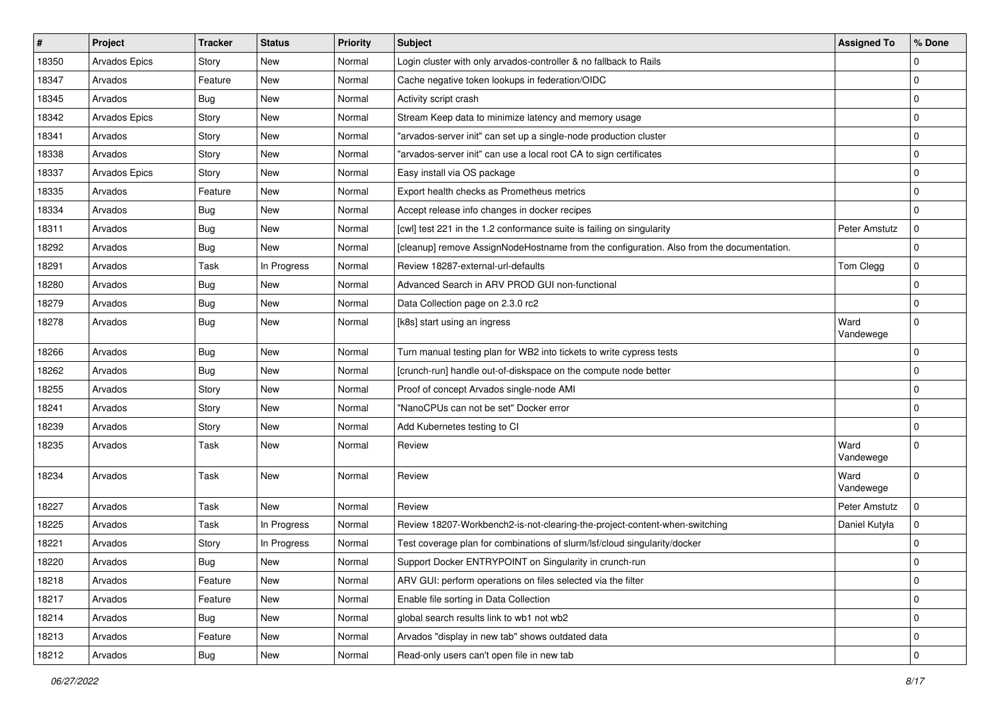| #     | Project              | <b>Tracker</b> | <b>Status</b> | <b>Priority</b> | <b>Subject</b>                                                                           | <b>Assigned To</b> | % Done      |
|-------|----------------------|----------------|---------------|-----------------|------------------------------------------------------------------------------------------|--------------------|-------------|
| 18350 | Arvados Epics        | Story          | New           | Normal          | Login cluster with only arvados-controller & no fallback to Rails                        |                    | 0           |
| 18347 | Arvados              | Feature        | New           | Normal          | Cache negative token lookups in federation/OIDC                                          |                    | $\Omega$    |
| 18345 | Arvados              | <b>Bug</b>     | New           | Normal          | Activity script crash                                                                    |                    | $\mathbf 0$ |
| 18342 | <b>Arvados Epics</b> | Story          | New           | Normal          | Stream Keep data to minimize latency and memory usage                                    |                    | $\mathbf 0$ |
| 18341 | Arvados              | Story          | New           | Normal          | "arvados-server init" can set up a single-node production cluster                        |                    | $\mathbf 0$ |
| 18338 | Arvados              | Story          | New           | Normal          | "arvados-server init" can use a local root CA to sign certificates                       |                    | $\Omega$    |
| 18337 | Arvados Epics        | Story          | New           | Normal          | Easy install via OS package                                                              |                    | $\mathbf 0$ |
| 18335 | Arvados              | Feature        | New           | Normal          | Export health checks as Prometheus metrics                                               |                    | $\mathbf 0$ |
| 18334 | Arvados              | <b>Bug</b>     | New           | Normal          | Accept release info changes in docker recipes                                            |                    | $\Omega$    |
| 18311 | Arvados              | Bug            | <b>New</b>    | Normal          | [cwl] test 221 in the 1.2 conformance suite is failing on singularity                    | Peter Amstutz      | $\mathbf 0$ |
| 18292 | Arvados              | <b>Bug</b>     | New           | Normal          | [cleanup] remove AssignNodeHostname from the configuration. Also from the documentation. |                    | $\Omega$    |
| 18291 | Arvados              | Task           | In Progress   | Normal          | Review 18287-external-url-defaults                                                       | Tom Clegg          | $\mathbf 0$ |
| 18280 | Arvados              | <b>Bug</b>     | New           | Normal          | Advanced Search in ARV PROD GUI non-functional                                           |                    | $\mathbf 0$ |
| 18279 | Arvados              | <b>Bug</b>     | New           | Normal          | Data Collection page on 2.3.0 rc2                                                        |                    | $\Omega$    |
| 18278 | Arvados              | <b>Bug</b>     | New           | Normal          | [k8s] start using an ingress                                                             | Ward<br>Vandewege  | $\mathbf 0$ |
| 18266 | Arvados              | <b>Bug</b>     | New           | Normal          | Turn manual testing plan for WB2 into tickets to write cypress tests                     |                    | $\mathbf 0$ |
| 18262 | Arvados              | <b>Bug</b>     | New           | Normal          | [crunch-run] handle out-of-diskspace on the compute node better                          |                    | $\mathbf 0$ |
| 18255 | Arvados              | Story          | New           | Normal          | Proof of concept Arvados single-node AMI                                                 |                    | $\Omega$    |
| 18241 | Arvados              | Story          | New           | Normal          | "NanoCPUs can not be set" Docker error                                                   |                    | $\mathbf 0$ |
| 18239 | Arvados              | Story          | New           | Normal          | Add Kubernetes testing to CI                                                             |                    | $\Omega$    |
| 18235 | Arvados              | Task           | New           | Normal          | Review                                                                                   | Ward<br>Vandewege  | $\Omega$    |
| 18234 | Arvados              | Task           | New           | Normal          | Review                                                                                   | Ward<br>Vandewege  | $\mathbf 0$ |
| 18227 | Arvados              | Task           | <b>New</b>    | Normal          | Review                                                                                   | Peter Amstutz      | $\mathbf 0$ |
| 18225 | Arvados              | Task           | In Progress   | Normal          | Review 18207-Workbench2-is-not-clearing-the-project-content-when-switching               | Daniel Kutyła      | $\Omega$    |
| 18221 | Arvados              | Story          | In Progress   | Normal          | Test coverage plan for combinations of slurm/lsf/cloud singularity/docker                |                    | $\mathbf 0$ |
| 18220 | Arvados              | Bug            | New           | Normal          | Support Docker ENTRYPOINT on Singularity in crunch-run                                   |                    | $\Omega$    |
| 18218 | Arvados              | Feature        | New           | Normal          | ARV GUI: perform operations on files selected via the filter                             |                    | $\mathbf 0$ |
| 18217 | Arvados              | Feature        | New           | Normal          | Enable file sorting in Data Collection                                                   |                    | $\mathbf 0$ |
| 18214 | Arvados              | <b>Bug</b>     | New           | Normal          | global search results link to wb1 not wb2                                                |                    | $\mathbf 0$ |
| 18213 | Arvados              | Feature        | New           | Normal          | Arvados "display in new tab" shows outdated data                                         |                    | $\mathbf 0$ |
| 18212 | Arvados              | Bug            | New           | Normal          | Read-only users can't open file in new tab                                               |                    | $\mathbf 0$ |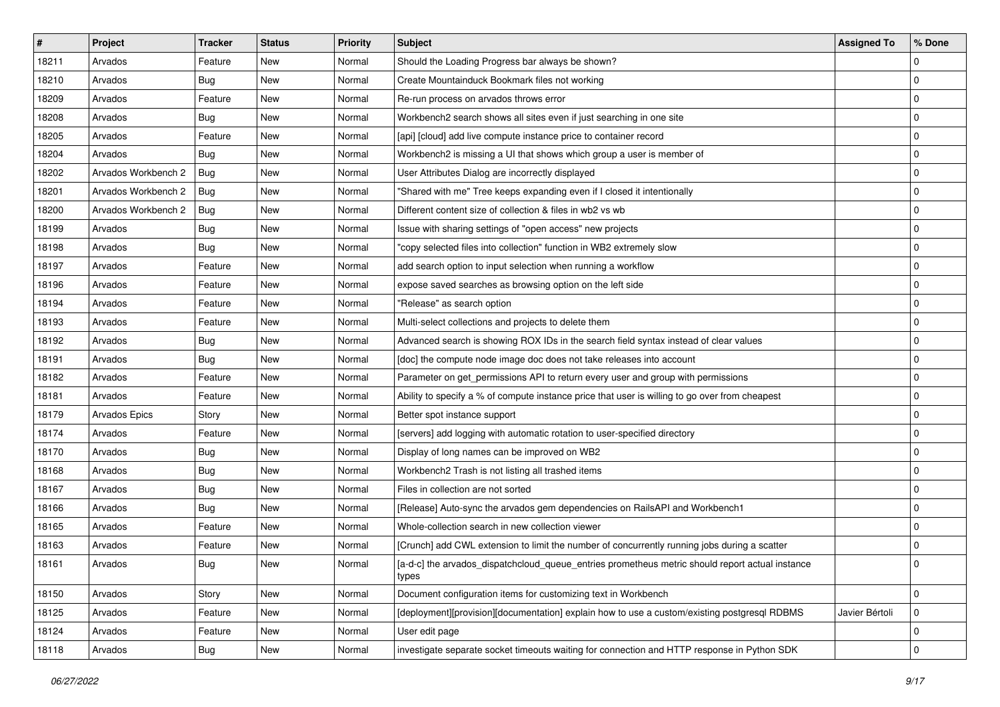| #     | Project             | <b>Tracker</b> | <b>Status</b> | <b>Priority</b> | <b>Subject</b>                                                                                           | <b>Assigned To</b> | % Done      |
|-------|---------------------|----------------|---------------|-----------------|----------------------------------------------------------------------------------------------------------|--------------------|-------------|
| 18211 | Arvados             | Feature        | New           | Normal          | Should the Loading Progress bar always be shown?                                                         |                    | $\Omega$    |
| 18210 | Arvados             | <b>Bug</b>     | New           | Normal          | Create Mountainduck Bookmark files not working                                                           |                    | $\Omega$    |
| 18209 | Arvados             | Feature        | New           | Normal          | Re-run process on arvados throws error                                                                   |                    | $\mathbf 0$ |
| 18208 | Arvados             | Bug            | New           | Normal          | Workbench2 search shows all sites even if just searching in one site                                     |                    | $\mathbf 0$ |
| 18205 | Arvados             | Feature        | New           | Normal          | [api] [cloud] add live compute instance price to container record                                        |                    | 0           |
| 18204 | Arvados             | <b>Bug</b>     | New           | Normal          | Workbench2 is missing a UI that shows which group a user is member of                                    |                    | $\Omega$    |
| 18202 | Arvados Workbench 2 | <b>Bug</b>     | New           | Normal          | User Attributes Dialog are incorrectly displayed                                                         |                    | $\Omega$    |
| 18201 | Arvados Workbench 2 | Bug            | New           | Normal          | "Shared with me" Tree keeps expanding even if I closed it intentionally                                  |                    | $\Omega$    |
| 18200 | Arvados Workbench 2 | Bug            | New           | Normal          | Different content size of collection & files in wb2 vs wb                                                |                    | $\Omega$    |
| 18199 | Arvados             | <b>Bug</b>     | New           | Normal          | Issue with sharing settings of "open access" new projects                                                |                    | $\mathbf 0$ |
| 18198 | Arvados             | <b>Bug</b>     | New           | Normal          | "copy selected files into collection" function in WB2 extremely slow                                     |                    | $\mathbf 0$ |
| 18197 | Arvados             | Feature        | New           | Normal          | add search option to input selection when running a workflow                                             |                    | $\mathbf 0$ |
| 18196 | Arvados             | Feature        | New           | Normal          | expose saved searches as browsing option on the left side                                                |                    | 0           |
| 18194 | Arvados             | Feature        | New           | Normal          | 'Release" as search option                                                                               |                    | $\mathbf 0$ |
| 18193 | Arvados             | Feature        | New           | Normal          | Multi-select collections and projects to delete them                                                     |                    | $\Omega$    |
| 18192 | Arvados             | Bug            | New           | Normal          | Advanced search is showing ROX IDs in the search field syntax instead of clear values                    |                    | $\mathbf 0$ |
| 18191 | Arvados             | <b>Bug</b>     | New           | Normal          | [doc] the compute node image doc does not take releases into account                                     |                    | $\mathbf 0$ |
| 18182 | Arvados             | Feature        | New           | Normal          | Parameter on get_permissions API to return every user and group with permissions                         |                    | 0           |
| 18181 | Arvados             | Feature        | New           | Normal          | Ability to specify a % of compute instance price that user is willing to go over from cheapest           |                    | $\Omega$    |
| 18179 | Arvados Epics       | Story          | New           | Normal          | Better spot instance support                                                                             |                    | $\Omega$    |
| 18174 | Arvados             | Feature        | New           | Normal          | [servers] add logging with automatic rotation to user-specified directory                                |                    | 0           |
| 18170 | Arvados             | Bug            | New           | Normal          | Display of long names can be improved on WB2                                                             |                    | $\Omega$    |
| 18168 | Arvados             | <b>Bug</b>     | New           | Normal          | Workbench2 Trash is not listing all trashed items                                                        |                    | 0           |
| 18167 | Arvados             | <b>Bug</b>     | New           | Normal          | Files in collection are not sorted                                                                       |                    | $\Omega$    |
| 18166 | Arvados             | <b>Bug</b>     | New           | Normal          | [Release] Auto-sync the arvados gem dependencies on RailsAPI and Workbench1                              |                    | $\Omega$    |
| 18165 | Arvados             | Feature        | New           | Normal          | Whole-collection search in new collection viewer                                                         |                    | 0           |
| 18163 | Arvados             | Feature        | New           | Normal          | [Crunch] add CWL extension to limit the number of concurrently running jobs during a scatter             |                    | $\Omega$    |
| 18161 | Arvados             | <b>Bug</b>     | New           | Normal          | [a-d-c] the arvados_dispatchcloud_queue_entries prometheus metric should report actual instance<br>types |                    | $\Omega$    |
| 18150 | Arvados             | Story          | New           | Normal          | Document configuration items for customizing text in Workbench                                           |                    | $\mathbf 0$ |
| 18125 | Arvados             | Feature        | New           | Normal          | [deployment][provision][documentation] explain how to use a custom/existing postgresql RDBMS             | Javier Bértoli     | $\mathbf 0$ |
| 18124 | Arvados             | Feature        | New           | Normal          | User edit page                                                                                           |                    | 0           |
| 18118 | Arvados             | Bug            | New           | Normal          | investigate separate socket timeouts waiting for connection and HTTP response in Python SDK              |                    | $\mathbf 0$ |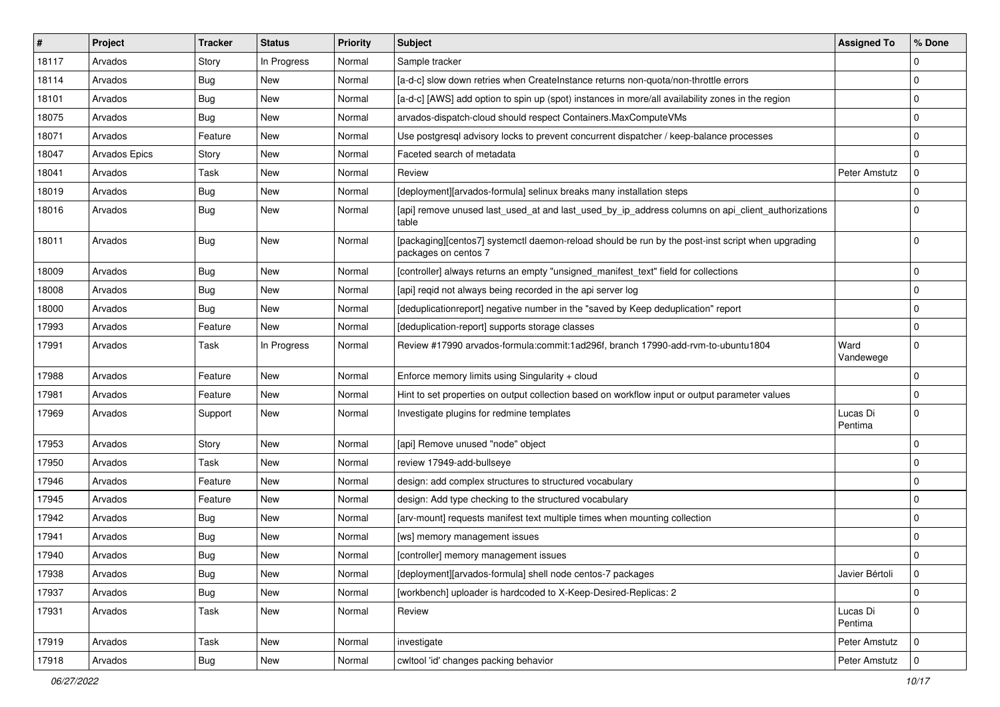| ∦     | Project              | <b>Tracker</b> | <b>Status</b> | <b>Priority</b> | <b>Subject</b>                                                                                                            | <b>Assigned To</b>  | % Done      |
|-------|----------------------|----------------|---------------|-----------------|---------------------------------------------------------------------------------------------------------------------------|---------------------|-------------|
| 18117 | Arvados              | Story          | In Progress   | Normal          | Sample tracker                                                                                                            |                     | $\Omega$    |
| 18114 | Arvados              | <b>Bug</b>     | New           | Normal          | [a-d-c] slow down retries when CreateInstance returns non-quota/non-throttle errors                                       |                     | $\mathbf 0$ |
| 18101 | Arvados              | <b>Bug</b>     | New           | Normal          | [a-d-c] [AWS] add option to spin up (spot) instances in more/all availability zones in the region                         |                     | 0           |
| 18075 | Arvados              | <b>Bug</b>     | New           | Normal          | arvados-dispatch-cloud should respect Containers.MaxComputeVMs                                                            |                     | $\mathbf 0$ |
| 18071 | Arvados              | Feature        | New           | Normal          | Use postgresql advisory locks to prevent concurrent dispatcher / keep-balance processes                                   |                     | $\mathbf 0$ |
| 18047 | <b>Arvados Epics</b> | Story          | New           | Normal          | Faceted search of metadata                                                                                                |                     | $\mathbf 0$ |
| 18041 | Arvados              | Task           | New           | Normal          | Review                                                                                                                    | Peter Amstutz       | $\mathbf 0$ |
| 18019 | Arvados              | <b>Bug</b>     | New           | Normal          | [deployment][arvados-formula] selinux breaks many installation steps                                                      |                     | 0           |
| 18016 | Arvados              | <b>Bug</b>     | New           | Normal          | [api] remove unused last_used_at and last_used_by_ip_address columns on api_client_authorizations<br>table                |                     | $\Omega$    |
| 18011 | Arvados              | <b>Bug</b>     | New           | Normal          | [packaging][centos7] systemctl daemon-reload should be run by the post-inst script when upgrading<br>packages on centos 7 |                     | $\Omega$    |
| 18009 | Arvados              | Bug            | New           | Normal          | [controller] always returns an empty "unsigned manifest text" field for collections                                       |                     | $\Omega$    |
| 18008 | Arvados              | <b>Bug</b>     | New           | Normal          | [api] regid not always being recorded in the api server log                                                               |                     | $\mathbf 0$ |
| 18000 | Arvados              | <b>Bug</b>     | New           | Normal          | [deduplicationreport] negative number in the "saved by Keep deduplication" report                                         |                     | $\mathbf 0$ |
| 17993 | Arvados              | Feature        | New           | Normal          | [deduplication-report] supports storage classes                                                                           |                     | 0           |
| 17991 | Arvados              | Task           | In Progress   | Normal          | Review #17990 arvados-formula:commit:1ad296f, branch 17990-add-rvm-to-ubuntu1804                                          | Ward<br>Vandewege   | $\Omega$    |
| 17988 | Arvados              | Feature        | New           | Normal          | Enforce memory limits using Singularity + cloud                                                                           |                     | 0           |
| 17981 | Arvados              | Feature        | New           | Normal          | Hint to set properties on output collection based on workflow input or output parameter values                            |                     | $\mathbf 0$ |
| 17969 | Arvados              | Support        | New           | Normal          | Investigate plugins for redmine templates                                                                                 | Lucas Di<br>Pentima | $\mathbf 0$ |
| 17953 | Arvados              | Story          | New           | Normal          | [api] Remove unused "node" object                                                                                         |                     | $\Omega$    |
| 17950 | Arvados              | Task           | New           | Normal          | review 17949-add-bullseye                                                                                                 |                     | 0           |
| 17946 | Arvados              | Feature        | New           | Normal          | design: add complex structures to structured vocabulary                                                                   |                     | $\Omega$    |
| 17945 | Arvados              | Feature        | New           | Normal          | design: Add type checking to the structured vocabulary                                                                    |                     | $\Omega$    |
| 17942 | Arvados              | <b>Bug</b>     | New           | Normal          | [arv-mount] requests manifest text multiple times when mounting collection                                                |                     | $\mathbf 0$ |
| 17941 | Arvados              | <b>Bug</b>     | New           | Normal          | [ws] memory management issues                                                                                             |                     | $\mathbf 0$ |
| 17940 | Arvados              | Bug            | New           | Normal          | [controller] memory management issues                                                                                     |                     | $\Omega$    |
| 17938 | Arvados              | <b>Bug</b>     | New           | Normal          | [deployment][arvados-formula] shell node centos-7 packages                                                                | Javier Bértoli      | $\mathbf 0$ |
| 17937 | Arvados              | <b>Bug</b>     | New           | Normal          | [workbench] uploader is hardcoded to X-Keep-Desired-Replicas: 2                                                           |                     | $\mathbf 0$ |
| 17931 | Arvados              | Task           | New           | Normal          | Review                                                                                                                    | Lucas Di<br>Pentima | $\mathbf 0$ |
| 17919 | Arvados              | Task           | New           | Normal          | investigate                                                                                                               | Peter Amstutz       | $\mathbf 0$ |
| 17918 | Arvados              | <b>Bug</b>     | New           | Normal          | cwltool 'id' changes packing behavior                                                                                     | Peter Amstutz       | $\mathbf 0$ |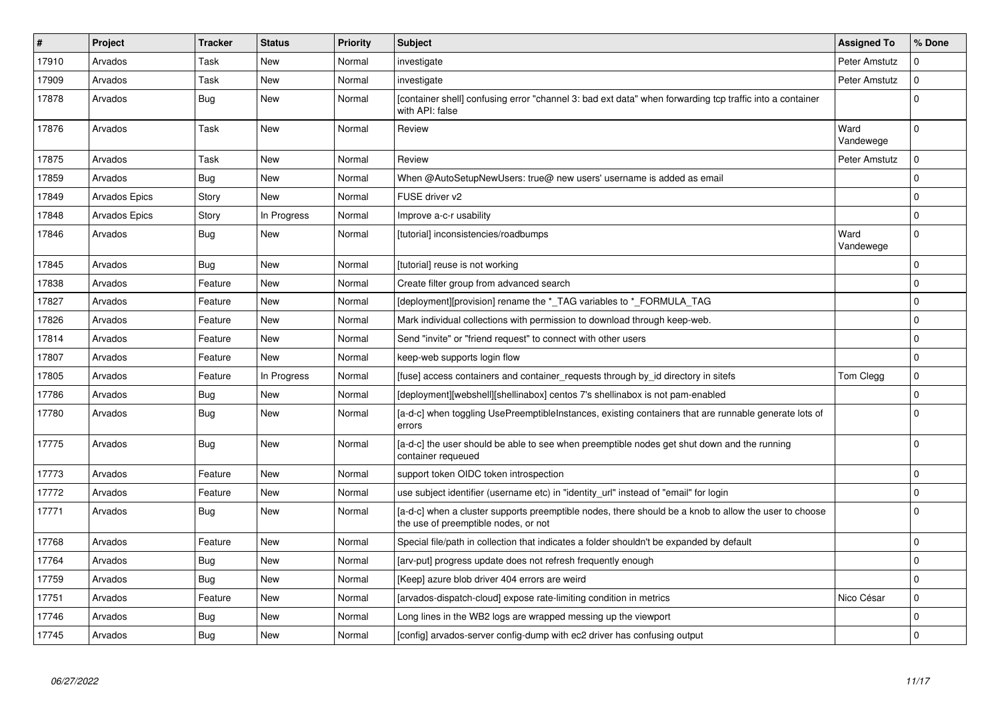| $\vert$ # | Project              | <b>Tracker</b> | <b>Status</b> | <b>Priority</b> | <b>Subject</b>                                                                                                                                | <b>Assigned To</b> | % Done      |
|-----------|----------------------|----------------|---------------|-----------------|-----------------------------------------------------------------------------------------------------------------------------------------------|--------------------|-------------|
| 17910     | Arvados              | Task           | New           | Normal          | investigate                                                                                                                                   | Peter Amstutz      | O           |
| 17909     | Arvados              | Task           | <b>New</b>    | Normal          | investigate                                                                                                                                   | Peter Amstutz      | $\Omega$    |
| 17878     | Arvados              | <b>Bug</b>     | <b>New</b>    | Normal          | container shell] confusing error "channel 3: bad ext data" when forwarding tcp traffic into a container<br>with API: false                    |                    | $\Omega$    |
| 17876     | Arvados              | Task           | New           | Normal          | Review                                                                                                                                        | Ward<br>Vandewege  | $\Omega$    |
| 17875     | Arvados              | Task           | New           | Normal          | Review                                                                                                                                        | Peter Amstutz      | $\Omega$    |
| 17859     | Arvados              | Bug            | New           | Normal          | When @AutoSetupNewUsers: true@ new users' username is added as email                                                                          |                    | $\Omega$    |
| 17849     | <b>Arvados Epics</b> | Story          | New           | Normal          | FUSE driver v2                                                                                                                                |                    | $\Omega$    |
| 17848     | Arvados Epics        | Story          | In Progress   | Normal          | Improve a-c-r usability                                                                                                                       |                    | $\mathbf 0$ |
| 17846     | Arvados              | <b>Bug</b>     | New           | Normal          | [tutorial] inconsistencies/roadbumps                                                                                                          | Ward<br>Vandewege  | $\Omega$    |
| 17845     | Arvados              | <b>Bug</b>     | New           | Normal          | [tutorial] reuse is not working                                                                                                               |                    | $\Omega$    |
| 17838     | Arvados              | Feature        | <b>New</b>    | Normal          | Create filter group from advanced search                                                                                                      |                    | $\mathbf 0$ |
| 17827     | Arvados              | Feature        | New           | Normal          | [deployment][provision] rename the *_TAG variables to *_FORMULA_TAG                                                                           |                    | $\Omega$    |
| 17826     | Arvados              | Feature        | New           | Normal          | Mark individual collections with permission to download through keep-web.                                                                     |                    | $\Omega$    |
| 17814     | Arvados              | Feature        | New           | Normal          | Send "invite" or "friend request" to connect with other users                                                                                 |                    | $\Omega$    |
| 17807     | Arvados              | Feature        | New           | Normal          | keep-web supports login flow                                                                                                                  |                    | $\Omega$    |
| 17805     | Arvados              | Feature        | In Progress   | Normal          | [fuse] access containers and container_requests through by_id directory in sitefs                                                             | Tom Clegg          | $\pmb{0}$   |
| 17786     | Arvados              | Bug            | New           | Normal          | [deployment][webshell][shellinabox] centos 7's shellinabox is not pam-enabled                                                                 |                    | $\mathbf 0$ |
| 17780     | Arvados              | <b>Bug</b>     | New           | Normal          | [a-d-c] when toggling UsePreemptibleInstances, existing containers that are runnable generate lots of<br>errors                               |                    | $\Omega$    |
| 17775     | Arvados              | <b>Bug</b>     | New           | Normal          | [a-d-c] the user should be able to see when preemptible nodes get shut down and the running<br>container requeued                             |                    | $\Omega$    |
| 17773     | Arvados              | Feature        | New           | Normal          | support token OIDC token introspection                                                                                                        |                    | $\Omega$    |
| 17772     | Arvados              | Feature        | New           | Normal          | use subject identifier (username etc) in "identity url" instead of "email" for login                                                          |                    | $\Omega$    |
| 17771     | Arvados              | <b>Bug</b>     | New           | Normal          | [a-d-c] when a cluster supports preemptible nodes, there should be a knob to allow the user to choose<br>the use of preemptible nodes, or not |                    | $\Omega$    |
| 17768     | Arvados              | Feature        | New           | Normal          | Special file/path in collection that indicates a folder shouldn't be expanded by default                                                      |                    | $\mathbf 0$ |
| 17764     | Arvados              | <b>Bug</b>     | <b>New</b>    | Normal          | [arv-put] progress update does not refresh frequently enough                                                                                  |                    | $\mathbf 0$ |
| 17759     | Arvados              | Bug            | New           | Normal          | [Keep] azure blob driver 404 errors are weird                                                                                                 |                    | $\mathbf 0$ |
| 17751     | Arvados              | Feature        | New           | Normal          | arvados-dispatch-cloud] expose rate-limiting condition in metrics                                                                             | Nico César         | $\mathbf 0$ |
| 17746     | Arvados              | <b>Bug</b>     | New           | Normal          | Long lines in the WB2 logs are wrapped messing up the viewport                                                                                |                    | $\Omega$    |
| 17745     | Arvados              | <b>Bug</b>     | New           | Normal          | [config] arvados-server config-dump with ec2 driver has confusing output                                                                      |                    | $\mathbf 0$ |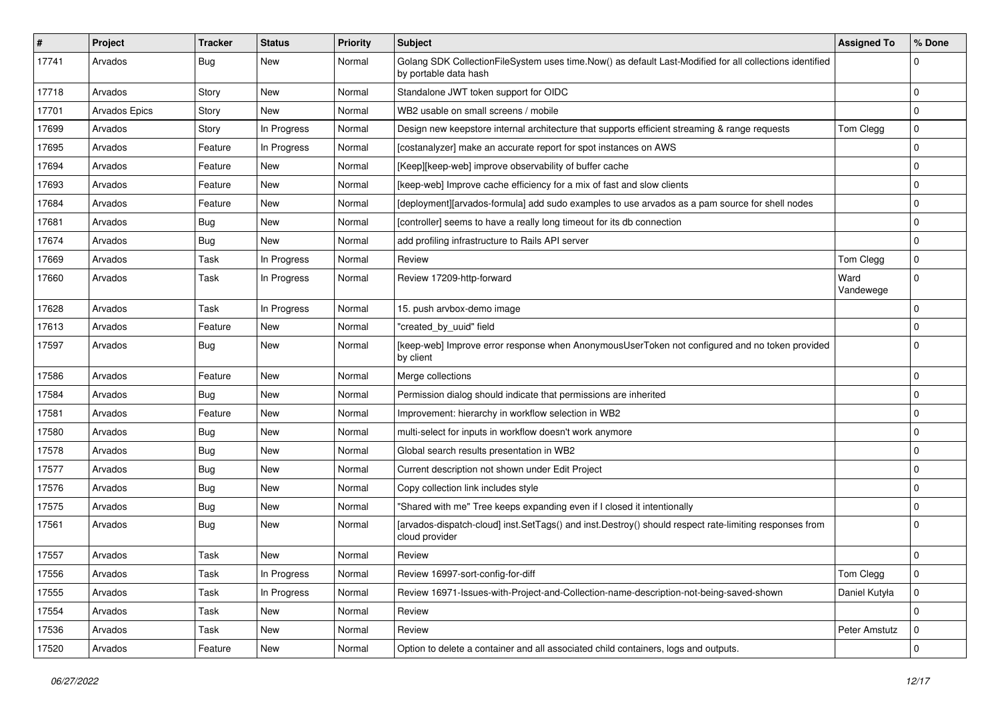| #     | Project              | Tracker    | <b>Status</b> | <b>Priority</b> | <b>Subject</b>                                                                                                                   | <b>Assigned To</b> | % Done      |
|-------|----------------------|------------|---------------|-----------------|----------------------------------------------------------------------------------------------------------------------------------|--------------------|-------------|
| 17741 | Arvados              | <b>Bug</b> | <b>New</b>    | Normal          | Golang SDK CollectionFileSystem uses time.Now() as default Last-Modified for all collections identified<br>by portable data hash |                    | $\Omega$    |
| 17718 | Arvados              | Story      | New           | Normal          | Standalone JWT token support for OIDC                                                                                            |                    | $\Omega$    |
| 17701 | <b>Arvados Epics</b> | Story      | New           | Normal          | WB2 usable on small screens / mobile                                                                                             |                    | $\mathbf 0$ |
| 17699 | Arvados              | Story      | In Progress   | Normal          | Design new keepstore internal architecture that supports efficient streaming & range requests                                    | Tom Clegg          | $\mathbf 0$ |
| 17695 | Arvados              | Feature    | In Progress   | Normal          | [costanalyzer] make an accurate report for spot instances on AWS                                                                 |                    | $\mathbf 0$ |
| 17694 | Arvados              | Feature    | New           | Normal          | [Keep][keep-web] improve observability of buffer cache                                                                           |                    | $\Omega$    |
| 17693 | Arvados              | Feature    | New           | Normal          | [keep-web] Improve cache efficiency for a mix of fast and slow clients                                                           |                    | $\Omega$    |
| 17684 | Arvados              | Feature    | New           | Normal          | [deployment][arvados-formula] add sudo examples to use arvados as a pam source for shell nodes                                   |                    | $\mathbf 0$ |
| 17681 | Arvados              | <b>Bug</b> | <b>New</b>    | Normal          | [controller] seems to have a really long timeout for its db connection                                                           |                    | $\mathbf 0$ |
| 17674 | Arvados              | <b>Bug</b> | New           | Normal          | add profiling infrastructure to Rails API server                                                                                 |                    | $\Omega$    |
| 17669 | Arvados              | Task       | In Progress   | Normal          | Review                                                                                                                           | Tom Clegg          | $\mathbf 0$ |
| 17660 | Arvados              | Task       | In Progress   | Normal          | Review 17209-http-forward                                                                                                        | Ward<br>Vandewege  | $\mathbf 0$ |
| 17628 | Arvados              | Task       | In Progress   | Normal          | 15. push arvbox-demo image                                                                                                       |                    | $\Omega$    |
| 17613 | Arvados              | Feature    | New           | Normal          | "created_by_uuid" field                                                                                                          |                    | $\Omega$    |
| 17597 | Arvados              | Bug        | New           | Normal          | [keep-web] Improve error response when AnonymousUserToken not configured and no token provided<br>by client                      |                    | $\Omega$    |
| 17586 | Arvados              | Feature    | New           | Normal          | Merge collections                                                                                                                |                    | $\Omega$    |
| 17584 | Arvados              | <b>Bug</b> | New           | Normal          | Permission dialog should indicate that permissions are inherited                                                                 |                    | $\mathbf 0$ |
| 17581 | Arvados              | Feature    | New           | Normal          | Improvement: hierarchy in workflow selection in WB2                                                                              |                    | $\mathbf 0$ |
| 17580 | Arvados              | <b>Bug</b> | New           | Normal          | multi-select for inputs in workflow doesn't work anymore                                                                         |                    | $\Omega$    |
| 17578 | Arvados              | <b>Bug</b> | New           | Normal          | Global search results presentation in WB2                                                                                        |                    | $\mathbf 0$ |
| 17577 | Arvados              | <b>Bug</b> | New           | Normal          | Current description not shown under Edit Project                                                                                 |                    | $\Omega$    |
| 17576 | Arvados              | <b>Bug</b> | New           | Normal          | Copy collection link includes style                                                                                              |                    | $\mathbf 0$ |
| 17575 | Arvados              | <b>Bug</b> | New           | Normal          | "Shared with me" Tree keeps expanding even if I closed it intentionally                                                          |                    | $\mathbf 0$ |
| 17561 | Arvados              | <b>Bug</b> | New           | Normal          | [arvados-dispatch-cloud] inst.SetTags() and inst.Destroy() should respect rate-limiting responses from<br>cloud provider         |                    | $\Omega$    |
| 17557 | Arvados              | Task       | New           | Normal          | Review                                                                                                                           |                    | $\Omega$    |
| 17556 | Arvados              | Task       | In Progress   | Normal          | Review 16997-sort-config-for-diff                                                                                                | Tom Clegg          | $\mathbf 0$ |
| 17555 | Arvados              | Task       | In Progress   | Normal          | Review 16971-Issues-with-Project-and-Collection-name-description-not-being-saved-shown                                           | Daniel Kutyła      | $\mathbf 0$ |
| 17554 | Arvados              | Task       | New           | Normal          | Review                                                                                                                           |                    | 0           |
| 17536 | Arvados              | Task       | New           | Normal          | Review                                                                                                                           | Peter Amstutz      | $\mathbf 0$ |
| 17520 | Arvados              | Feature    | New           | Normal          | Option to delete a container and all associated child containers, logs and outputs.                                              |                    | $\mathbf 0$ |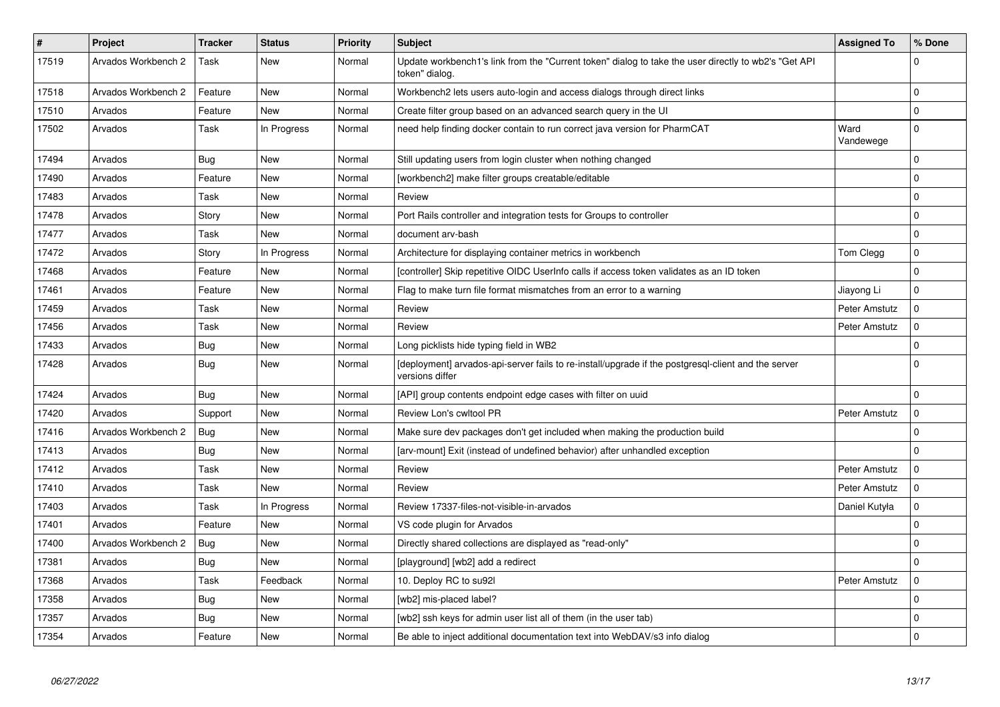| #     | <b>Project</b>      | <b>Tracker</b> | <b>Status</b> | <b>Priority</b> | <b>Subject</b>                                                                                                         | <b>Assigned To</b> | % Done      |
|-------|---------------------|----------------|---------------|-----------------|------------------------------------------------------------------------------------------------------------------------|--------------------|-------------|
| 17519 | Arvados Workbench 2 | Task           | New           | Normal          | Update workbench1's link from the "Current token" dialog to take the user directly to wb2's "Get API<br>token" dialog. |                    | O           |
| 17518 | Arvados Workbench 2 | Feature        | New           | Normal          | Workbench2 lets users auto-login and access dialogs through direct links                                               |                    | $\mathbf 0$ |
| 17510 | Arvados             | Feature        | New           | Normal          | Create filter group based on an advanced search query in the UI                                                        |                    | $\mathbf 0$ |
| 17502 | Arvados             | Task           | In Progress   | Normal          | need help finding docker contain to run correct java version for PharmCAT                                              | Ward<br>Vandewege  | $\Omega$    |
| 17494 | Arvados             | <b>Bug</b>     | <b>New</b>    | Normal          | Still updating users from login cluster when nothing changed                                                           |                    | $\mathbf 0$ |
| 17490 | Arvados             | Feature        | <b>New</b>    | Normal          | [workbench2] make filter groups creatable/editable                                                                     |                    | $\mathbf 0$ |
| 17483 | Arvados             | Task           | New           | Normal          | Review                                                                                                                 |                    | $\mathbf 0$ |
| 17478 | Arvados             | Story          | New           | Normal          | Port Rails controller and integration tests for Groups to controller                                                   |                    | $\mathbf 0$ |
| 17477 | Arvados             | Task           | <b>New</b>    | Normal          | document arv-bash                                                                                                      |                    | $\mathbf 0$ |
| 17472 | Arvados             | Story          | In Progress   | Normal          | Architecture for displaying container metrics in workbench                                                             | Tom Clegg          | $\mathbf 0$ |
| 17468 | Arvados             | Feature        | New           | Normal          | [controller] Skip repetitive OIDC UserInfo calls if access token validates as an ID token                              |                    | $\mathbf 0$ |
| 17461 | Arvados             | Feature        | <b>New</b>    | Normal          | Flag to make turn file format mismatches from an error to a warning                                                    | Jiayong Li         | $\mathbf 0$ |
| 17459 | Arvados             | Task           | <b>New</b>    | Normal          | Review                                                                                                                 | Peter Amstutz      | $\mathbf 0$ |
| 17456 | Arvados             | Task           | <b>New</b>    | Normal          | Review                                                                                                                 | Peter Amstutz      | $\Omega$    |
| 17433 | Arvados             | <b>Bug</b>     | New           | Normal          | Long picklists hide typing field in WB2                                                                                |                    | $\Omega$    |
| 17428 | Arvados             | <b>Bug</b>     | New           | Normal          | [deployment] arvados-api-server fails to re-install/upgrade if the postgresql-client and the server<br>versions differ |                    | $\mathbf 0$ |
| 17424 | Arvados             | <b>Bug</b>     | <b>New</b>    | Normal          | [API] group contents endpoint edge cases with filter on uuid                                                           |                    | $\Omega$    |
| 17420 | Arvados             | Support        | New           | Normal          | Review Lon's cwltool PR                                                                                                | Peter Amstutz      | $\mathbf 0$ |
| 17416 | Arvados Workbench 2 | Bug            | New           | Normal          | Make sure dev packages don't get included when making the production build                                             |                    | $\Omega$    |
| 17413 | Arvados             | <b>Bug</b>     | New           | Normal          | [arv-mount] Exit (instead of undefined behavior) after unhandled exception                                             |                    | $\Omega$    |
| 17412 | Arvados             | Task           | New           | Normal          | Review                                                                                                                 | Peter Amstutz      | $\Omega$    |
| 17410 | Arvados             | Task           | <b>New</b>    | Normal          | Review                                                                                                                 | Peter Amstutz      | $\Omega$    |
| 17403 | Arvados             | Task           | In Progress   | Normal          | Review 17337-files-not-visible-in-arvados                                                                              | Daniel Kutyła      | $\Omega$    |
| 17401 | Arvados             | Feature        | New           | Normal          | VS code plugin for Arvados                                                                                             |                    | $\Omega$    |
| 17400 | Arvados Workbench 2 | <b>Bug</b>     | <b>New</b>    | Normal          | Directly shared collections are displayed as "read-only"                                                               |                    | $\mathbf 0$ |
| 17381 | Arvados             | <b>Bug</b>     | <b>New</b>    | Normal          | [playground] [wb2] add a redirect                                                                                      |                    | $\mathbf 0$ |
| 17368 | Arvados             | Task           | Feedback      | Normal          | 10. Deploy RC to su92l                                                                                                 | Peter Amstutz      | $\mathbf 0$ |
| 17358 | Arvados             | Bug            | New           | Normal          | [wb2] mis-placed label?                                                                                                |                    | $\mathbf 0$ |
| 17357 | Arvados             | <b>Bug</b>     | New           | Normal          | [wb2] ssh keys for admin user list all of them (in the user tab)                                                       |                    | 0           |
| 17354 | Arvados             | Feature        | <b>New</b>    | Normal          | Be able to inject additional documentation text into WebDAV/s3 info dialog                                             |                    | $\Omega$    |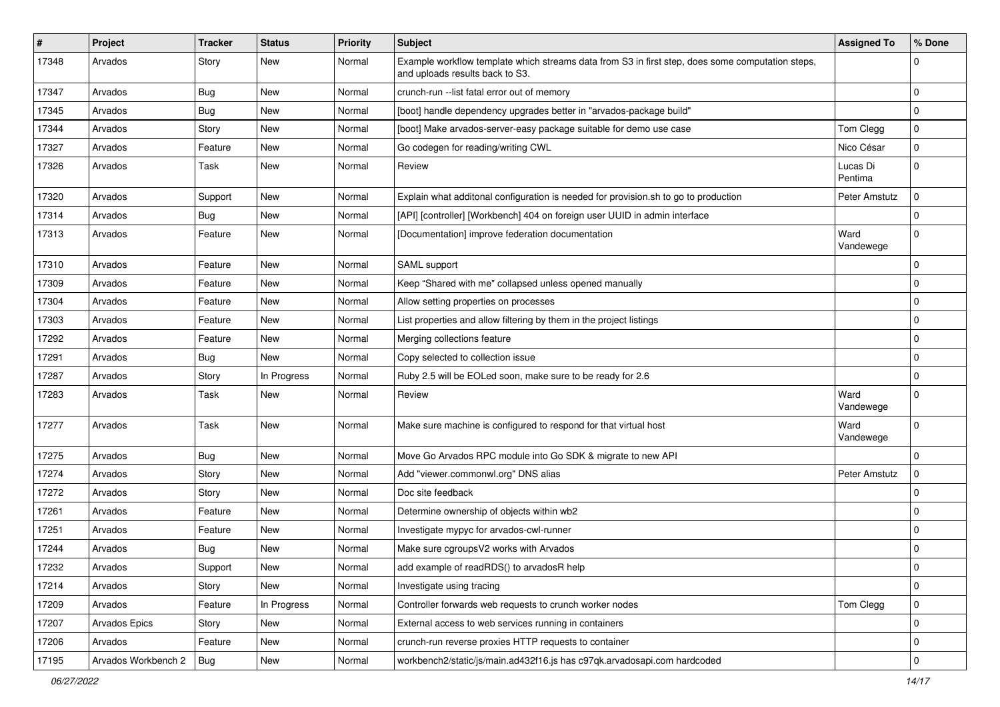| #     | Project             | <b>Tracker</b> | <b>Status</b> | <b>Priority</b> | Subject                                                                                                                             | <b>Assigned To</b>  | % Done      |
|-------|---------------------|----------------|---------------|-----------------|-------------------------------------------------------------------------------------------------------------------------------------|---------------------|-------------|
| 17348 | Arvados             | Story          | New           | Normal          | Example workflow template which streams data from S3 in first step, does some computation steps,<br>and uploads results back to S3. |                     | $\Omega$    |
| 17347 | Arvados             | <b>Bug</b>     | New           | Normal          | crunch-run -- list fatal error out of memory                                                                                        |                     | $\mathbf 0$ |
| 17345 | Arvados             | <b>Bug</b>     | New           | Normal          | [boot] handle dependency upgrades better in "arvados-package build"                                                                 |                     | $\mathbf 0$ |
| 17344 | Arvados             | Story          | New           | Normal          | [boot] Make arvados-server-easy package suitable for demo use case                                                                  | Tom Clegg           | $\mathbf 0$ |
| 17327 | Arvados             | Feature        | New           | Normal          | Go codegen for reading/writing CWL                                                                                                  | Nico César          | $\Omega$    |
| 17326 | Arvados             | Task           | New           | Normal          | Review                                                                                                                              | Lucas Di<br>Pentima | $\mathbf 0$ |
| 17320 | Arvados             | Support        | New           | Normal          | Explain what additonal configuration is needed for provision.sh to go to production                                                 | Peter Amstutz       | $\Omega$    |
| 17314 | Arvados             | <b>Bug</b>     | New           | Normal          | [API] [controller] [Workbench] 404 on foreign user UUID in admin interface                                                          |                     | $\Omega$    |
| 17313 | Arvados             | Feature        | New           | Normal          | [Documentation] improve federation documentation                                                                                    | Ward<br>Vandewege   | $\mathbf 0$ |
| 17310 | Arvados             | Feature        | New           | Normal          | SAML support                                                                                                                        |                     | $\mathbf 0$ |
| 17309 | Arvados             | Feature        | New           | Normal          | Keep "Shared with me" collapsed unless opened manually                                                                              |                     | $\Omega$    |
| 17304 | Arvados             | Feature        | New           | Normal          | Allow setting properties on processes                                                                                               |                     | $\mathbf 0$ |
| 17303 | Arvados             | Feature        | New           | Normal          | List properties and allow filtering by them in the project listings                                                                 |                     | $\mathbf 0$ |
| 17292 | Arvados             | Feature        | New           | Normal          | Merging collections feature                                                                                                         |                     | $\Omega$    |
| 17291 | Arvados             | Bug            | New           | Normal          | Copy selected to collection issue                                                                                                   |                     | $\Omega$    |
| 17287 | Arvados             | Story          | In Progress   | Normal          | Ruby 2.5 will be EOLed soon, make sure to be ready for 2.6                                                                          |                     | $\Omega$    |
| 17283 | Arvados             | Task           | New           | Normal          | Review                                                                                                                              | Ward<br>Vandewege   | $\mathbf 0$ |
| 17277 | Arvados             | Task           | New           | Normal          | Make sure machine is configured to respond for that virtual host                                                                    | Ward<br>Vandewege   | $\Omega$    |
| 17275 | Arvados             | <b>Bug</b>     | New           | Normal          | Move Go Arvados RPC module into Go SDK & migrate to new API                                                                         |                     | $\Omega$    |
| 17274 | Arvados             | Story          | New           | Normal          | Add "viewer.commonwl.org" DNS alias                                                                                                 | Peter Amstutz       | $\Omega$    |
| 17272 | Arvados             | Story          | New           | Normal          | Doc site feedback                                                                                                                   |                     | $\Omega$    |
| 17261 | Arvados             | Feature        | New           | Normal          | Determine ownership of objects within wb2                                                                                           |                     | $\Omega$    |
| 17251 | Arvados             | Feature        | New           | Normal          | Investigate mypyc for arvados-cwl-runner                                                                                            |                     | $\mathbf 0$ |
| 17244 | Arvados             | Bug            | New           | Normal          | Make sure cgroupsV2 works with Arvados                                                                                              |                     | $\Omega$    |
| 17232 | Arvados             | Support        | New           | Normal          | add example of readRDS() to arvadosR help                                                                                           |                     | $\mathbf 0$ |
| 17214 | Arvados             | Story          | New           | Normal          | Investigate using tracing                                                                                                           |                     | $\mathbf 0$ |
| 17209 | Arvados             | Feature        | In Progress   | Normal          | Controller forwards web requests to crunch worker nodes                                                                             | Tom Clegg           | $\mathbf 0$ |
| 17207 | Arvados Epics       | Story          | New           | Normal          | External access to web services running in containers                                                                               |                     | $\mathbf 0$ |
| 17206 | Arvados             | Feature        | New           | Normal          | crunch-run reverse proxies HTTP requests to container                                                                               |                     | $\mathbf 0$ |
| 17195 | Arvados Workbench 2 | <b>Bug</b>     | New           | Normal          | workbench2/static/js/main.ad432f16.js has c97qk.arvadosapi.com hardcoded                                                            |                     | $\mathbf 0$ |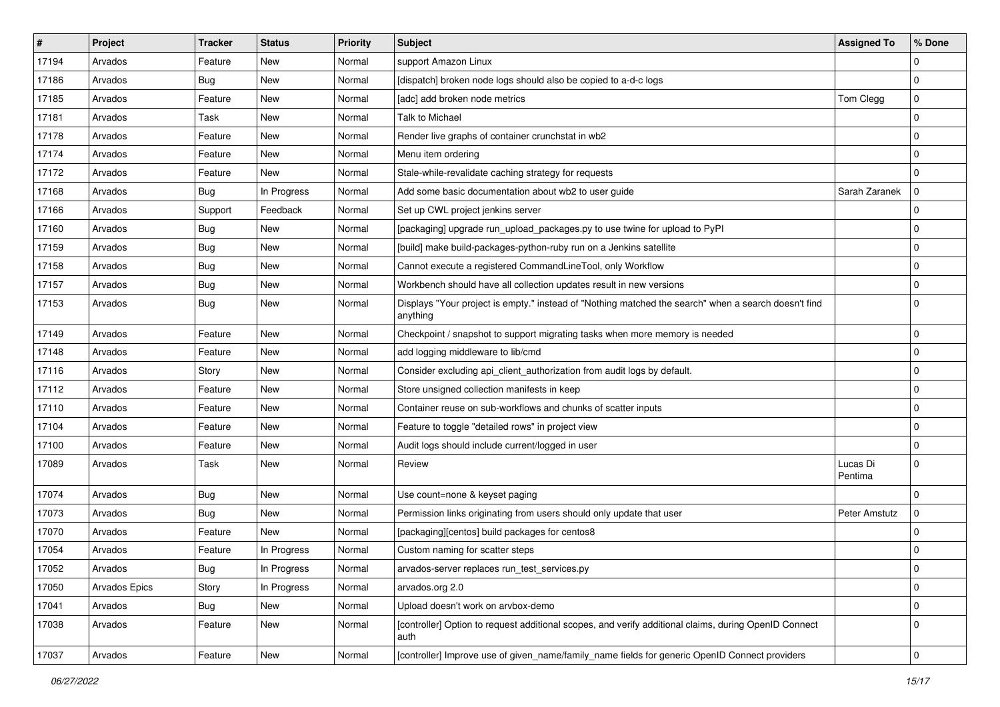| $\vert$ # | <b>Project</b>       | <b>Tracker</b> | <b>Status</b> | <b>Priority</b> | Subject                                                                                                          | <b>Assigned To</b>  | % Done      |
|-----------|----------------------|----------------|---------------|-----------------|------------------------------------------------------------------------------------------------------------------|---------------------|-------------|
| 17194     | Arvados              | Feature        | New           | Normal          | support Amazon Linux                                                                                             |                     | 0           |
| 17186     | Arvados              | Bug            | <b>New</b>    | Normal          | [dispatch] broken node logs should also be copied to a-d-c logs                                                  |                     | 0           |
| 17185     | Arvados              | Feature        | New           | Normal          | [adc] add broken node metrics                                                                                    | Tom Clegg           | 0           |
| 17181     | Arvados              | Task           | New           | Normal          | Talk to Michael                                                                                                  |                     | $\mathbf 0$ |
| 17178     | Arvados              | Feature        | New           | Normal          | Render live graphs of container crunchstat in wb2                                                                |                     | 0           |
| 17174     | Arvados              | Feature        | New           | Normal          | Menu item ordering                                                                                               |                     | $\mathbf 0$ |
| 17172     | Arvados              | Feature        | <b>New</b>    | Normal          | Stale-while-revalidate caching strategy for requests                                                             |                     | $\Omega$    |
| 17168     | Arvados              | Bug            | In Progress   | Normal          | Add some basic documentation about wb2 to user guide                                                             | Sarah Zaranek       | $\mathbf 0$ |
| 17166     | Arvados              | Support        | Feedback      | Normal          | Set up CWL project jenkins server                                                                                |                     | $\mathbf 0$ |
| 17160     | Arvados              | Bug            | <b>New</b>    | Normal          | [packaging] upgrade run_upload_packages.py to use twine for upload to PyPI                                       |                     | 0           |
| 17159     | Arvados              | Bug            | New           | Normal          | [build] make build-packages-python-ruby run on a Jenkins satellite                                               |                     | $\mathbf 0$ |
| 17158     | Arvados              | Bug            | <b>New</b>    | Normal          | Cannot execute a registered CommandLineTool, only Workflow                                                       |                     | $\mathbf 0$ |
| 17157     | Arvados              | <b>Bug</b>     | New           | Normal          | Workbench should have all collection updates result in new versions                                              |                     | 0           |
| 17153     | Arvados              | Bug            | New           | Normal          | Displays "Your project is empty." instead of "Nothing matched the search" when a search doesn't find<br>anything |                     | $\mathbf 0$ |
| 17149     | Arvados              | Feature        | New           | Normal          | Checkpoint / snapshot to support migrating tasks when more memory is needed                                      |                     | $\mathbf 0$ |
| 17148     | Arvados              | Feature        | New           | Normal          | add logging middleware to lib/cmd                                                                                |                     | $\mathbf 0$ |
| 17116     | Arvados              | Story          | New           | Normal          | Consider excluding api_client_authorization from audit logs by default.                                          |                     | $\mathbf 0$ |
| 17112     | Arvados              | Feature        | New           | Normal          | Store unsigned collection manifests in keep                                                                      |                     | $\mathbf 0$ |
| 17110     | Arvados              | Feature        | <b>New</b>    | Normal          | Container reuse on sub-workflows and chunks of scatter inputs                                                    |                     | $\mathbf 0$ |
| 17104     | Arvados              | Feature        | New           | Normal          | Feature to toggle "detailed rows" in project view                                                                |                     | $\mathbf 0$ |
| 17100     | Arvados              | Feature        | New           | Normal          | Audit logs should include current/logged in user                                                                 |                     | $\mathbf 0$ |
| 17089     | Arvados              | Task           | New           | Normal          | Review                                                                                                           | Lucas Di<br>Pentima | $\Omega$    |
| 17074     | Arvados              | <b>Bug</b>     | New           | Normal          | Use count=none & keyset paging                                                                                   |                     | $\Omega$    |
| 17073     | Arvados              | Bug            | New           | Normal          | Permission links originating from users should only update that user                                             | Peter Amstutz       | 0           |
| 17070     | Arvados              | Feature        | New           | Normal          | [packaging][centos] build packages for centos8                                                                   |                     | $\mathbf 0$ |
| 17054     | Arvados              | Feature        | In Progress   | Normal          | Custom naming for scatter steps                                                                                  |                     | $\mathbf 0$ |
| 17052     | Arvados              | <b>Bug</b>     | In Progress   | Normal          | arvados-server replaces run_test_services.py                                                                     |                     | 0           |
| 17050     | <b>Arvados Epics</b> | Story          | In Progress   | Normal          | arvados.org 2.0                                                                                                  |                     | 0           |
| 17041     | Arvados              | <b>Bug</b>     | New           | Normal          | Upload doesn't work on arvbox-demo                                                                               |                     | 0           |
| 17038     | Arvados              | Feature        | New           | Normal          | [controller] Option to request additional scopes, and verify additional claims, during OpenID Connect<br>auth    |                     | $\mathbf 0$ |
| 17037     | Arvados              | Feature        | New           | Normal          | [controller] Improve use of given_name/family_name fields for generic OpenID Connect providers                   |                     | 0           |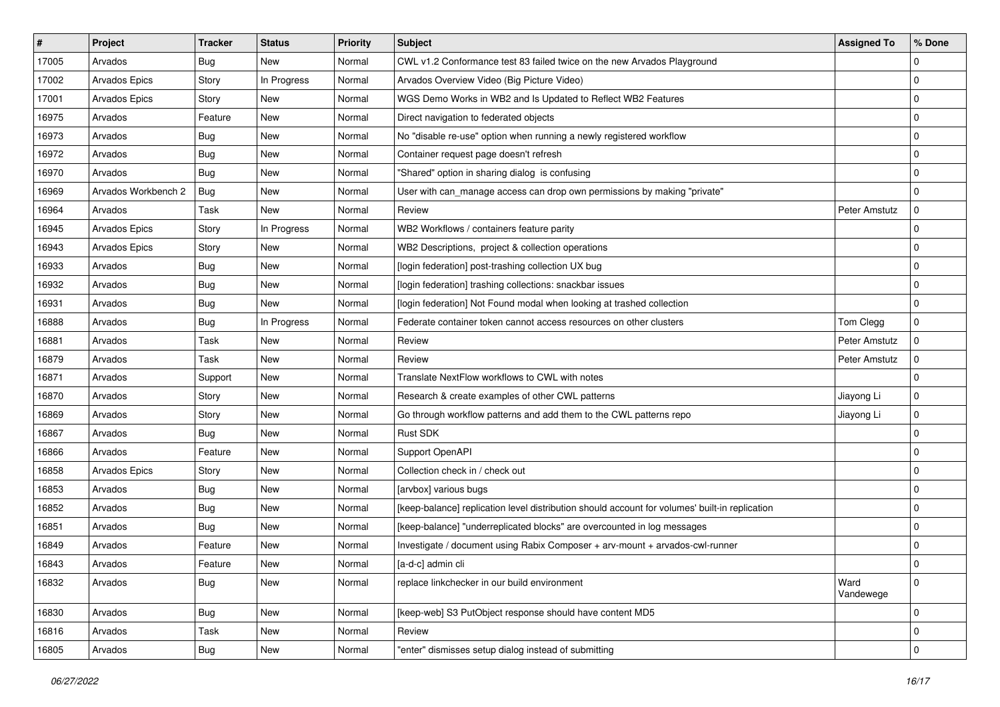| #     | Project              | <b>Tracker</b> | <b>Status</b> | <b>Priority</b> | <b>Subject</b>                                                                                 | <b>Assigned To</b> | % Done      |
|-------|----------------------|----------------|---------------|-----------------|------------------------------------------------------------------------------------------------|--------------------|-------------|
| 17005 | Arvados              | <b>Bug</b>     | New           | Normal          | CWL v1.2 Conformance test 83 failed twice on the new Arvados Playground                        |                    | $\Omega$    |
| 17002 | <b>Arvados Epics</b> | Story          | In Progress   | Normal          | Arvados Overview Video (Big Picture Video)                                                     |                    | $\mathbf 0$ |
| 17001 | <b>Arvados Epics</b> | Story          | New           | Normal          | WGS Demo Works in WB2 and Is Updated to Reflect WB2 Features                                   |                    | $\mathbf 0$ |
| 16975 | Arvados              | Feature        | New           | Normal          | Direct navigation to federated objects                                                         |                    | $\mathbf 0$ |
| 16973 | Arvados              | <b>Bug</b>     | New           | Normal          | No "disable re-use" option when running a newly registered workflow                            |                    | 0           |
| 16972 | Arvados              | <b>Bug</b>     | New           | Normal          | Container request page doesn't refresh                                                         |                    | $\mathbf 0$ |
| 16970 | Arvados              | <b>Bug</b>     | New           | Normal          | "Shared" option in sharing dialog is confusing                                                 |                    | $\mathbf 0$ |
| 16969 | Arvados Workbench 2  | Bug            | New           | Normal          | User with can_manage access can drop own permissions by making "private"                       |                    | 0           |
| 16964 | Arvados              | Task           | New           | Normal          | Review                                                                                         | Peter Amstutz      | $\Omega$    |
| 16945 | Arvados Epics        | Story          | In Progress   | Normal          | WB2 Workflows / containers feature parity                                                      |                    | $\Omega$    |
| 16943 | Arvados Epics        | Story          | New           | Normal          | WB2 Descriptions, project & collection operations                                              |                    | $\mathbf 0$ |
| 16933 | Arvados              | <b>Bug</b>     | New           | Normal          | [login federation] post-trashing collection UX bug                                             |                    | $\mathbf 0$ |
| 16932 | Arvados              | <b>Bug</b>     | New           | Normal          | [login federation] trashing collections: snackbar issues                                       |                    | 0           |
| 16931 | Arvados              | <b>Bug</b>     | New           | Normal          | [login federation] Not Found modal when looking at trashed collection                          |                    | $\Omega$    |
| 16888 | Arvados              | Bug            | In Progress   | Normal          | Federate container token cannot access resources on other clusters                             | Tom Clegg          | $\mathbf 0$ |
| 16881 | Arvados              | Task           | New           | Normal          | Review                                                                                         | Peter Amstutz      | $\mathbf 0$ |
| 16879 | Arvados              | Task           | New           | Normal          | Review                                                                                         | Peter Amstutz      | $\Omega$    |
| 16871 | Arvados              | Support        | New           | Normal          | Translate NextFlow workflows to CWL with notes                                                 |                    | $\Omega$    |
| 16870 | Arvados              | Story          | New           | Normal          | Research & create examples of other CWL patterns                                               | Jiayong Li         | $\mathbf 0$ |
| 16869 | Arvados              | Story          | New           | Normal          | Go through workflow patterns and add them to the CWL patterns repo                             | Jiayong Li         | $\mathbf 0$ |
| 16867 | Arvados              | <b>Bug</b>     | New           | Normal          | <b>Rust SDK</b>                                                                                |                    | 0           |
| 16866 | Arvados              | Feature        | New           | Normal          | Support OpenAPI                                                                                |                    | $\Omega$    |
| 16858 | Arvados Epics        | Story          | New           | Normal          | Collection check in / check out                                                                |                    | 0           |
| 16853 | Arvados              | Bug            | New           | Normal          | [arvbox] various bugs                                                                          |                    | $\mathbf 0$ |
| 16852 | Arvados              | <b>Bug</b>     | New           | Normal          | [keep-balance] replication level distribution should account for volumes' built-in replication |                    | $\mathbf 0$ |
| 16851 | Arvados              | <b>Bug</b>     | New           | Normal          | [keep-balance] "underreplicated blocks" are overcounted in log messages                        |                    | 0           |
| 16849 | Arvados              | Feature        | New           | Normal          | Investigate / document using Rabix Composer + arv-mount + arvados-cwl-runner                   |                    | $\mathbf 0$ |
| 16843 | Arvados              | Feature        | New           | Normal          | [a-d-c] admin cli                                                                              |                    | $\mathbf 0$ |
| 16832 | Arvados              | Bug            | New           | Normal          | replace linkchecker in our build environment                                                   | Ward<br>Vandewege  | $\mathbf 0$ |
| 16830 | Arvados              | <b>Bug</b>     | New           | Normal          | [keep-web] S3 PutObject response should have content MD5                                       |                    | 0           |
| 16816 | Arvados              | Task           | New           | Normal          | Review                                                                                         |                    | 0           |
| 16805 | Arvados              | Bug            | New           | Normal          | "enter" dismisses setup dialog instead of submitting                                           |                    | 0           |